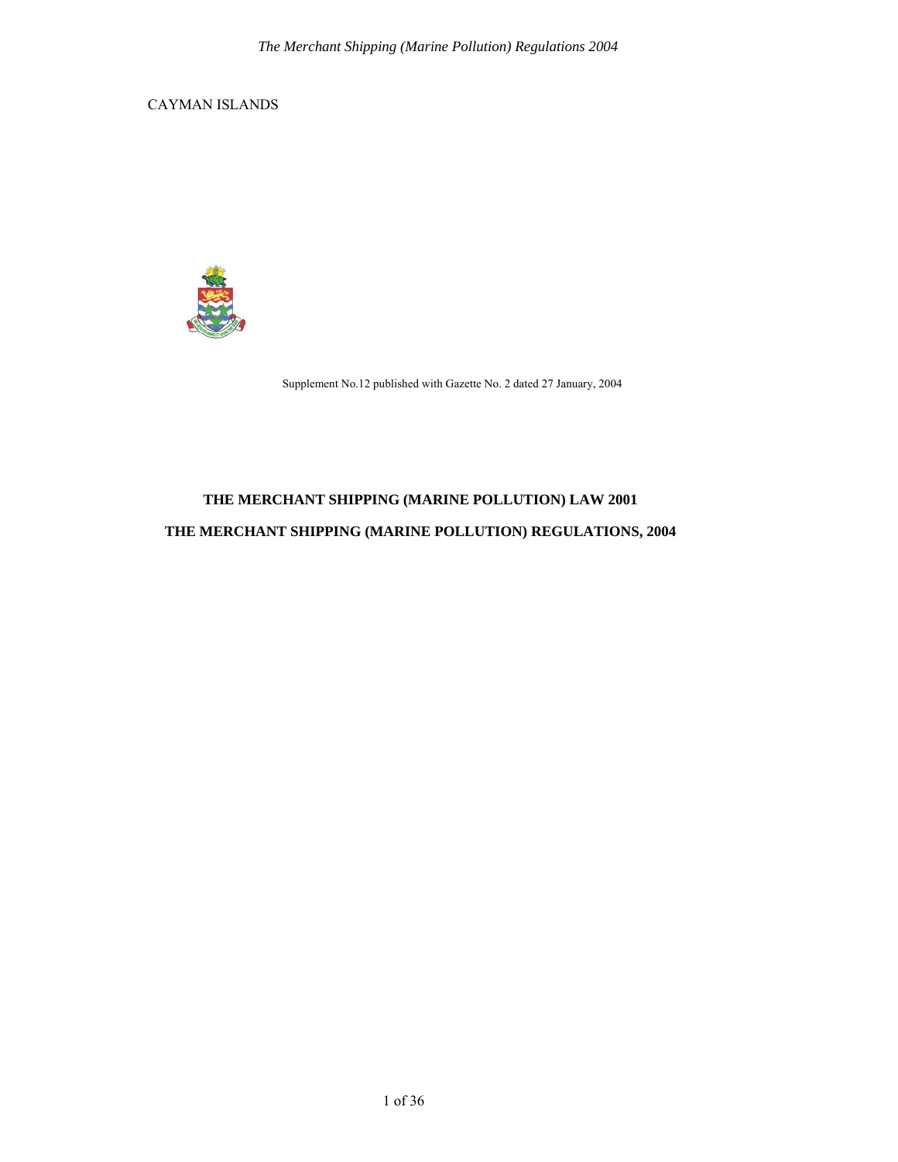CAYMAN ISLANDS



Supplement No.12 published with Gazette No. 2 dated 27 January, 2004

# **THE MERCHANT SHIPPING (MARINE POLLUTION) LAW 2001 THE MERCHANT SHIPPING (MARINE POLLUTION) REGULATIONS, 2004**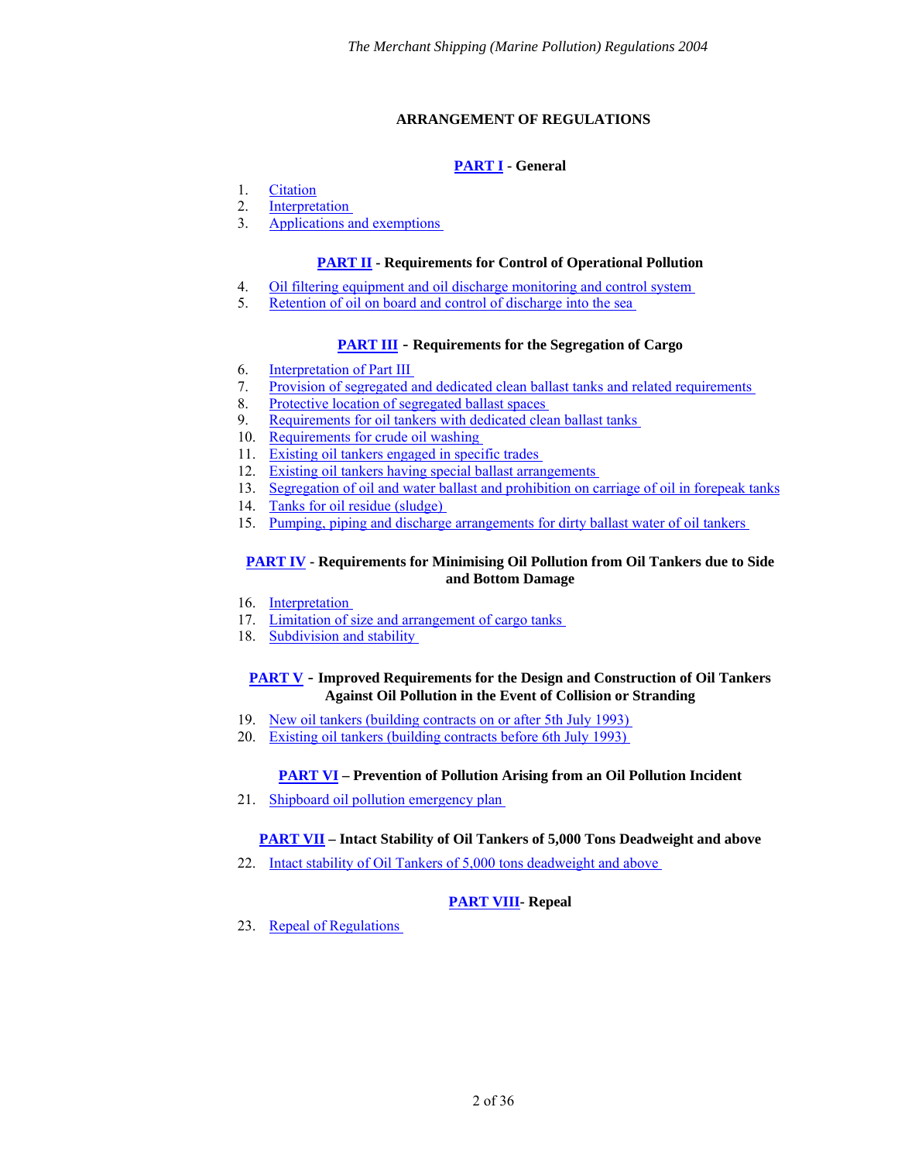## **ARRANGEMENT OF REGULATIONS**

## **[PART I](#page-3-0) - General**

- <span id="page-1-0"></span>1. [Citation](#page-3-1)
- 2. [Interpretation](#page-3-2)
- 3. [Applications and exemptions](#page-5-0)

## **[PART II](#page-5-1) - Requirements for Control of Operational Pollution**

- 4. [Oil filtering equipment and oil discharge monitoring and control system](#page-5-2)
- 5. [Retention of oil on board and control of discharge into the sea](#page-6-0)

## **[PART III](#page-8-0)** - **Requirements for the Segregation of Cargo**

- 6. [Interpretation of Part III](#page-8-1)
- 7. [Provision of segregated and dedicated clean ballast tanks and related requirements](#page-8-2)
- 8. [Protective location of segregated ballast spaces](#page-9-0)
- 9. [Requirements for oil tankers with dedicated clean ballast tanks](#page-10-0)
- 10. [Requirements for crude oil washing](#page-10-1)
- 11. [Existing oil tankers engaged in specific trades](#page-10-2)
- 12. [Existing oil tankers having special ballast arrangements](#page-11-0)
- 13. [Segregation of oil and water ballast and prohibition on carriage of oil in forepeak tanks](#page-11-1)
- 14. [Tanks for oil residue \(sludge\)](#page-11-2)
- 15. [Pumping, piping and discharge arrangements for dirty ballast water of oil tankers](#page-12-0)

## **[PART IV](#page-13-0) - Requirements for Minimising Oil Pollution from Oil Tankers due to Side and Bottom Damage**

- 16. [Interpretation](#page-13-1)
- 17. Limitation of size and arrangement of cargo tanks
- 18. Subdivision and stability

## **[PART V](#page-15-0)** - **Improved Requirements for the Design and Construction of Oil Tankers Against Oil Pollution in the Event of Collision or Stranding**

- 19. [New oil tankers \(building contracts on or after 5th July 1993\)](#page-15-1)
- 20. [Existing oil tankers \(building contracts before 6th July 1993\)](#page-15-2)

## **[PART VI](#page-17-0) – Prevention of Pollution Arising from an Oil Pollution Incident**

21. [Shipboard oil pollution emergency plan](#page-17-1) 

## **[PART VII](#page-17-2) – Intact Stability of Oil Tankers of 5,000 Tons Deadweight and above**

22. [Intact stability of Oil Tankers of 5,000 tons deadweight and above](#page-17-3) 

## **[PART VIII-](#page-18-0) Repeal**

23. [Repeal of Regulations](#page-18-1)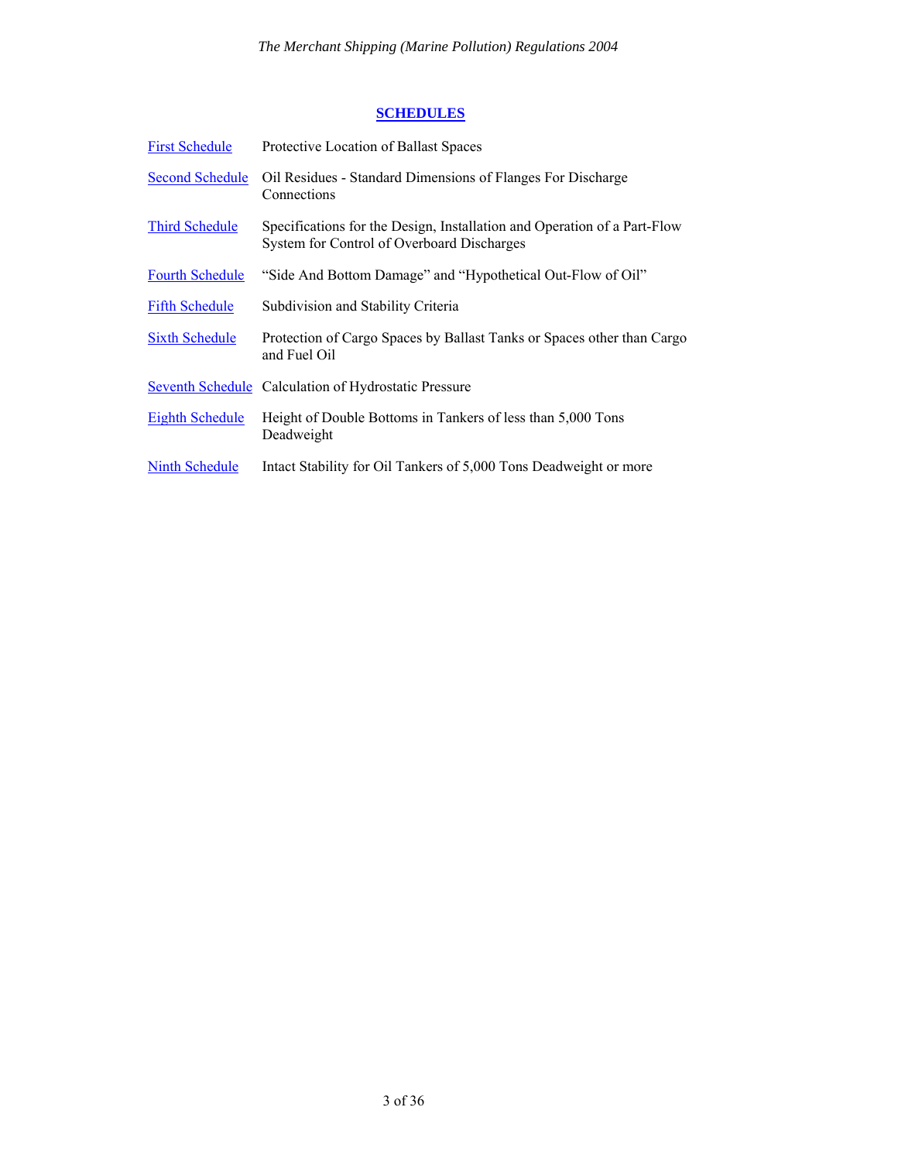## **[SCHEDULES](#page-19-0)**

| <b>First Schedule</b>  | Protective Location of Ballast Spaces                                                                                  |
|------------------------|------------------------------------------------------------------------------------------------------------------------|
| <b>Second Schedule</b> | Oil Residues - Standard Dimensions of Flanges For Discharge<br>Connections                                             |
| <b>Third Schedule</b>  | Specifications for the Design, Installation and Operation of a Part-Flow<br>System for Control of Overboard Discharges |
| <b>Fourth Schedule</b> | "Side And Bottom Damage" and "Hypothetical Out-Flow of Oil"                                                            |
| <b>Fifth Schedule</b>  | Subdivision and Stability Criteria                                                                                     |
| <b>Sixth Schedule</b>  | Protection of Cargo Spaces by Ballast Tanks or Spaces other than Cargo<br>and Fuel Oil                                 |
|                        | Seventh Schedule Calculation of Hydrostatic Pressure                                                                   |
| <b>Eighth Schedule</b> | Height of Double Bottoms in Tankers of less than 5,000 Tons<br>Deadweight                                              |
| Ninth Schedule         | Intact Stability for Oil Tankers of 5,000 Tons Deadweight or more                                                      |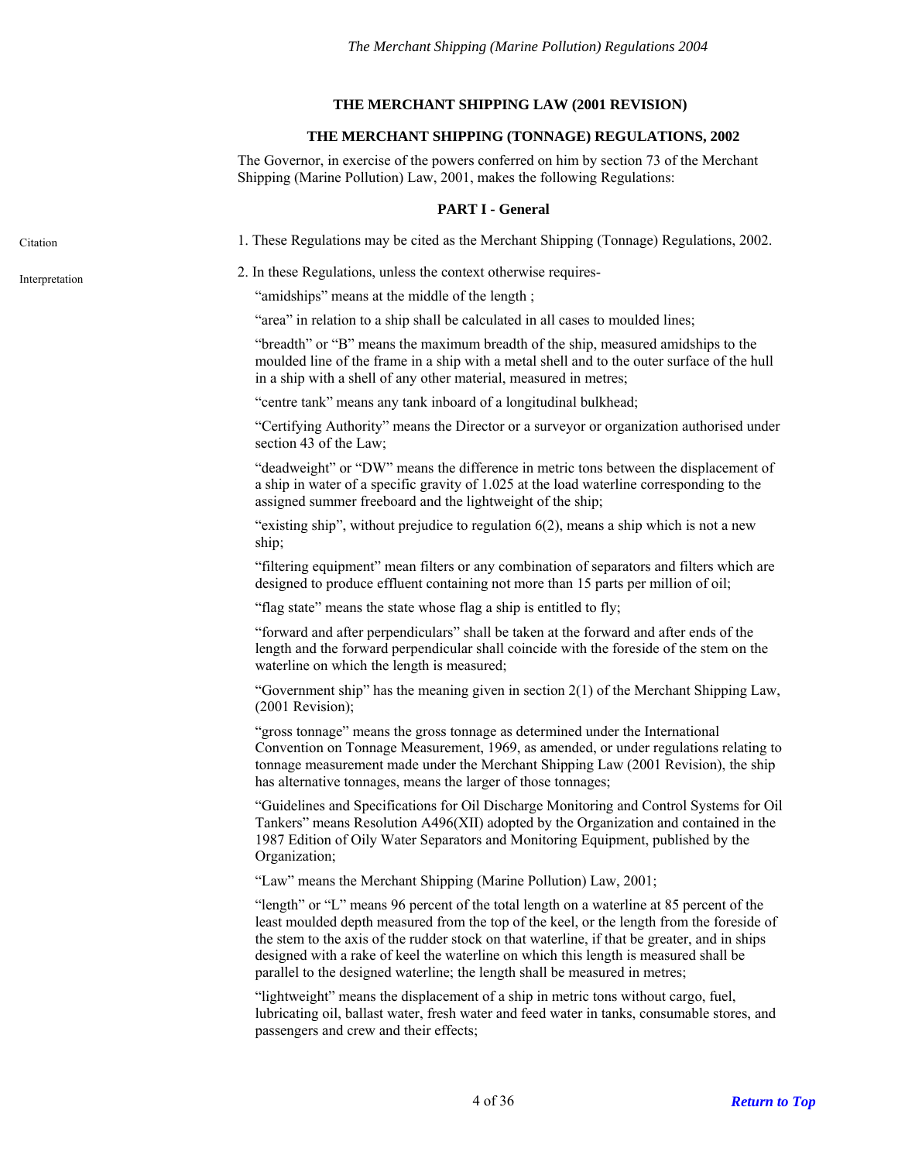## **THE MERCHANT SHIPPING LAW (2001 REVISION)**

## **THE MERCHANT SHIPPING (TONNAGE) REGULATIONS, 2002**

The Governor, in exercise of the powers conferred on him by section 73 of the Merchant Shipping (Marine Pollution) Law, 2001, makes the following Regulations:

#### **PART I - General**

<span id="page-3-1"></span><span id="page-3-0"></span>Citation 1. These Regulations may be cited as the Merchant Shipping (Tonnage) Regulations, 2002.

<span id="page-3-2"></span>2. In these Regulations, unless the context otherwise requires- Interpretation

"amidships" means at the middle of the length ;

"area" in relation to a ship shall be calculated in all cases to moulded lines;

"breadth" or "B" means the maximum breadth of the ship, measured amidships to the moulded line of the frame in a ship with a metal shell and to the outer surface of the hull in a ship with a shell of any other material, measured in metres;

"centre tank" means any tank inboard of a longitudinal bulkhead;

"Certifying Authority" means the Director or a surveyor or organization authorised under section 43 of the Law;

"deadweight" or "DW" means the difference in metric tons between the displacement of a ship in water of a specific gravity of 1.025 at the load waterline corresponding to the assigned summer freeboard and the lightweight of the ship;

"existing ship", without prejudice to regulation 6(2), means a ship which is not a new ship;

"filtering equipment" mean filters or any combination of separators and filters which are designed to produce effluent containing not more than 15 parts per million of oil;

"flag state" means the state whose flag a ship is entitled to fly;

"forward and after perpendiculars" shall be taken at the forward and after ends of the length and the forward perpendicular shall coincide with the foreside of the stem on the waterline on which the length is measured;

"Government ship" has the meaning given in section 2(1) of the Merchant Shipping Law, (2001 Revision);

"gross tonnage" means the gross tonnage as determined under the International Convention on Tonnage Measurement, 1969, as amended, or under regulations relating to tonnage measurement made under the Merchant Shipping Law (2001 Revision), the ship has alternative tonnages, means the larger of those tonnages;

"Guidelines and Specifications for Oil Discharge Monitoring and Control Systems for Oil Tankers" means Resolution A496(XII) adopted by the Organization and contained in the 1987 Edition of Oily Water Separators and Monitoring Equipment, published by the Organization;

"Law" means the Merchant Shipping (Marine Pollution) Law, 2001;

"length" or "L" means 96 percent of the total length on a waterline at 85 percent of the least moulded depth measured from the top of the keel, or the length from the foreside of the stem to the axis of the rudder stock on that waterline, if that be greater, and in ships designed with a rake of keel the waterline on which this length is measured shall be parallel to the designed waterline; the length shall be measured in metres;

"lightweight" means the displacement of a ship in metric tons without cargo, fuel, lubricating oil, ballast water, fresh water and feed water in tanks, consumable stores, and passengers and crew and their effects;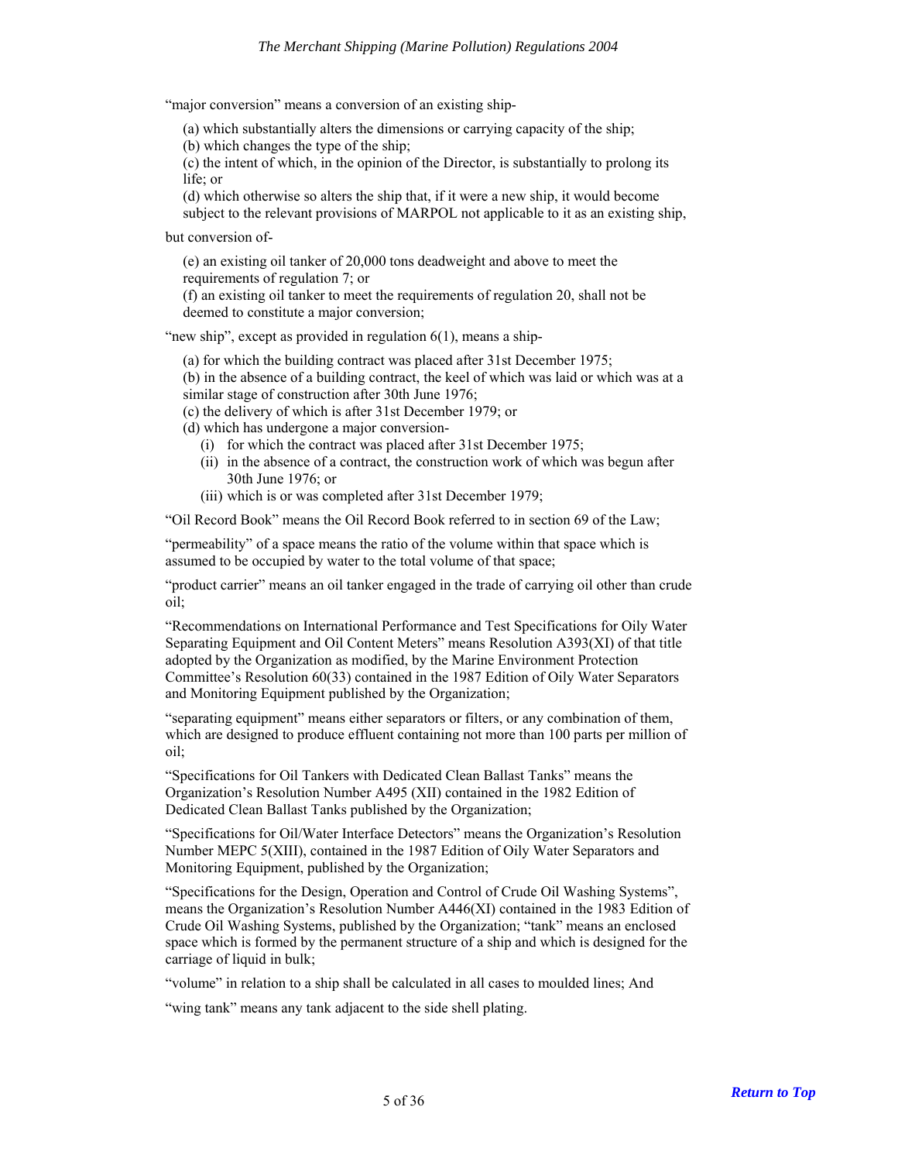"major conversion" means a conversion of an existing ship-

(a) which substantially alters the dimensions or carrying capacity of the ship;

(b) which changes the type of the ship;

(c) the intent of which, in the opinion of the Director, is substantially to prolong its life; or

(d) which otherwise so alters the ship that, if it were a new ship, it would become

subject to the relevant provisions of MARPOL not applicable to it as an existing ship,

but conversion of-

(e) an existing oil tanker of 20,000 tons deadweight and above to meet the requirements of regulation 7; or

(f) an existing oil tanker to meet the requirements of regulation 20, shall not be deemed to constitute a major conversion;

"new ship", except as provided in regulation  $6(1)$ , means a ship-

(a) for which the building contract was placed after 31st December 1975; (b) in the absence of a building contract, the keel of which was laid or which was at a similar stage of construction after 30th June 1976;

(c) the delivery of which is after 31st December 1979; or

(d) which has undergone a major conversion-

- (i) for which the contract was placed after 31st December 1975;
- (ii) in the absence of a contract, the construction work of which was begun after 30th June 1976; or
- (iii) which is or was completed after 31st December 1979;

"Oil Record Book" means the Oil Record Book referred to in section 69 of the Law;

"permeability" of a space means the ratio of the volume within that space which is assumed to be occupied by water to the total volume of that space;

"product carrier" means an oil tanker engaged in the trade of carrying oil other than crude oil;

"Recommendations on International Performance and Test Specifications for Oily Water Separating Equipment and Oil Content Meters" means Resolution A393(XI) of that title adopted by the Organization as modified, by the Marine Environment Protection Committee's Resolution 60(33) contained in the 1987 Edition of Oily Water Separators and Monitoring Equipment published by the Organization;

"separating equipment" means either separators or filters, or any combination of them, which are designed to produce effluent containing not more than 100 parts per million of oil;

"Specifications for Oil Tankers with Dedicated Clean Ballast Tanks" means the Organization's Resolution Number A495 (XII) contained in the 1982 Edition of Dedicated Clean Ballast Tanks published by the Organization;

"Specifications for Oil/Water Interface Detectors" means the Organization's Resolution Number MEPC 5(XIII), contained in the 1987 Edition of Oily Water Separators and Monitoring Equipment, published by the Organization;

"Specifications for the Design, Operation and Control of Crude Oil Washing Systems", means the Organization's Resolution Number A446(XI) contained in the 1983 Edition of Crude Oil Washing Systems, published by the Organization; "tank" means an enclosed space which is formed by the permanent structure of a ship and which is designed for the carriage of liquid in bulk;

"volume" in relation to a ship shall be calculated in all cases to moulded lines; And

"wing tank" means any tank adjacent to the side shell plating.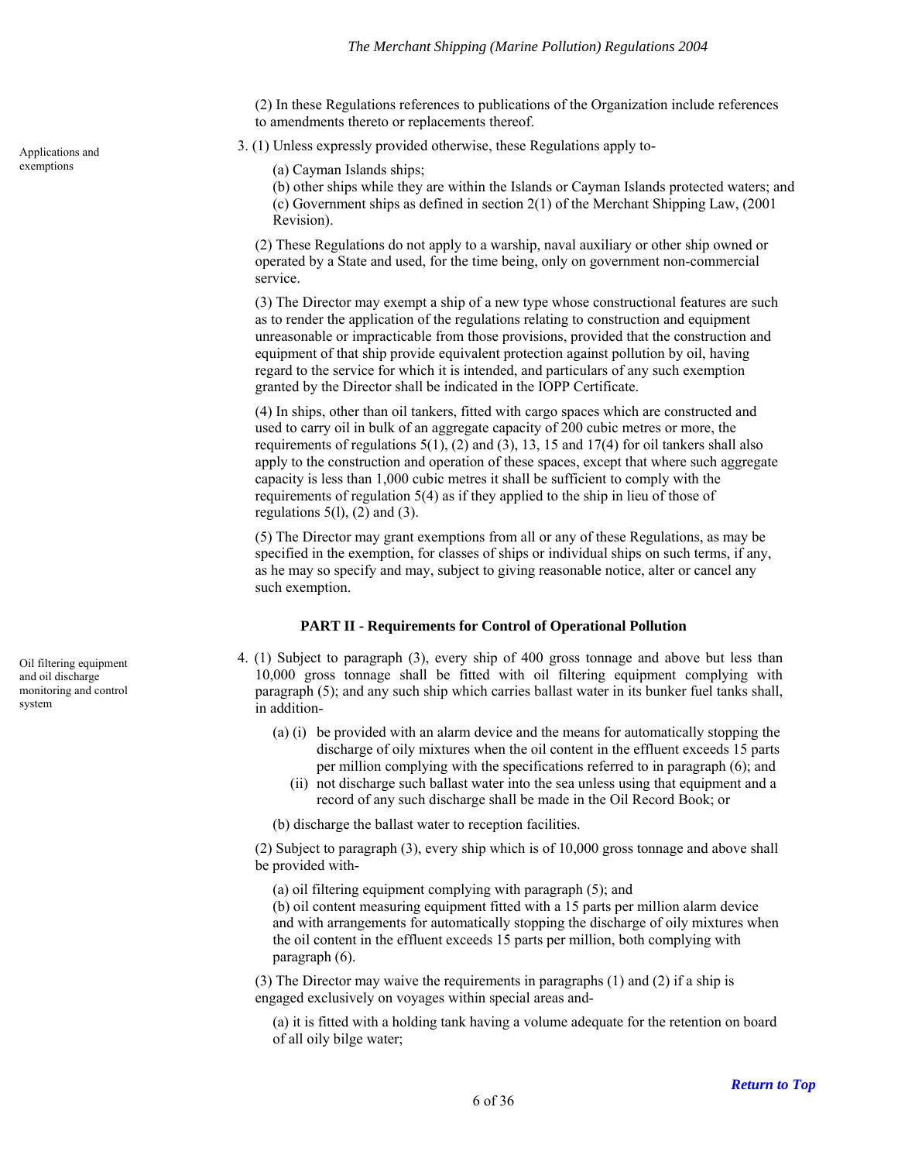(2) In these Regulations references to publications of the Organization include references to amendments thereto or replacements thereof.

<span id="page-5-0"></span>Applications and 3. (1) Unless expressly provided otherwise, these Regulations apply to-

exemptions (a) Cayman Islands ships;

(b) other ships while they are within the Islands or Cayman Islands protected waters; and (c) Government ships as defined in section 2(1) of the Merchant Shipping Law, (2001 Revision).

(2) These Regulations do not apply to a warship, naval auxiliary or other ship owned or operated by a State and used, for the time being, only on government non-commercial service.

(3) The Director may exempt a ship of a new type whose constructional features are such as to render the application of the regulations relating to construction and equipment unreasonable or impracticable from those provisions, provided that the construction and equipment of that ship provide equivalent protection against pollution by oil, having regard to the service for which it is intended, and particulars of any such exemption granted by the Director shall be indicated in the IOPP Certificate.

(4) In ships, other than oil tankers, fitted with cargo spaces which are constructed and used to carry oil in bulk of an aggregate capacity of 200 cubic metres or more, the requirements of regulations  $5(1)$ ,  $(2)$  and  $(3)$ ,  $13$ ,  $15$  and  $17(4)$  for oil tankers shall also apply to the construction and operation of these spaces, except that where such aggregate capacity is less than 1,000 cubic metres it shall be sufficient to comply with the requirements of regulation 5(4) as if they applied to the ship in lieu of those of regulations  $5(1)$ ,  $(2)$  and  $(3)$ .

(5) The Director may grant exemptions from all or any of these Regulations, as may be specified in the exemption, for classes of ships or individual ships on such terms, if any, as he may so specify and may, subject to giving reasonable notice, alter or cancel any such exemption.

## **PART II - Requirements for Control of Operational Pollution**

4. (1) Subject to paragraph (3), every ship of 400 gross tonnage and above but less than 10,000 gross tonnage shall be fitted with oil filtering equipment complying with paragraph (5); and any such ship which carries ballast water in its bunker fuel tanks shall, in addition-

- (a) (i) be provided with an alarm device and the means for automatically stopping the discharge of oily mixtures when the oil content in the effluent exceeds 15 parts per million complying with the specifications referred to in paragraph (6); and
	- (ii) not discharge such ballast water into the sea unless using that equipment and a record of any such discharge shall be made in the Oil Record Book; or

(b) discharge the ballast water to reception facilities.

(2) Subject to paragraph (3), every ship which is of 10,000 gross tonnage and above shall be provided with-

(a) oil filtering equipment complying with paragraph (5); and

(b) oil content measuring equipment fitted with a 15 parts per million alarm device and with arrangements for automatically stopping the discharge of oily mixtures when the oil content in the effluent exceeds 15 parts per million, both complying with paragraph (6).

(3) The Director may waive the requirements in paragraphs (1) and (2) if a ship is engaged exclusively on voyages within special areas and-

(a) it is fitted with a holding tank having a volume adequate for the retention on board of all oily bilge water;

<span id="page-5-2"></span><span id="page-5-1"></span>Oil filtering equipment and oil discharge monitoring and control system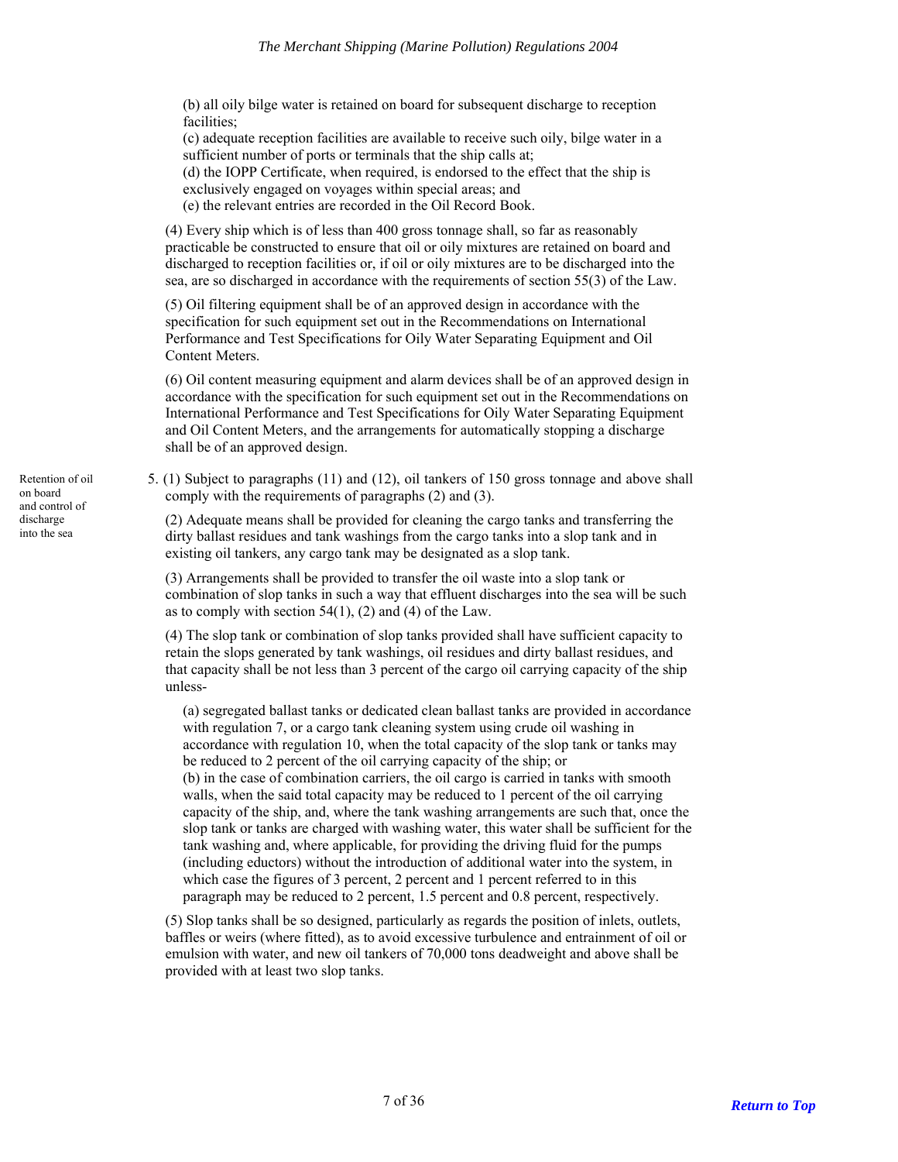(b) all oily bilge water is retained on board for subsequent discharge to reception facilities;

(c) adequate reception facilities are available to receive such oily, bilge water in a sufficient number of ports or terminals that the ship calls at;

(d) the IOPP Certificate, when required, is endorsed to the effect that the ship is

exclusively engaged on voyages within special areas; and

(e) the relevant entries are recorded in the Oil Record Book.

(4) Every ship which is of less than 400 gross tonnage shall, so far as reasonably practicable be constructed to ensure that oil or oily mixtures are retained on board and discharged to reception facilities or, if oil or oily mixtures are to be discharged into the sea, are so discharged in accordance with the requirements of section 55(3) of the Law.

(5) Oil filtering equipment shall be of an approved design in accordance with the specification for such equipment set out in the Recommendations on International Performance and Test Specifications for Oily Water Separating Equipment and Oil Content Meters.

(6) Oil content measuring equipment and alarm devices shall be of an approved design in accordance with the specification for such equipment set out in the Recommendations on International Performance and Test Specifications for Oily Water Separating Equipment and Oil Content Meters, and the arrangements for automatically stopping a discharge shall be of an approved design.

5. (1) Subject to paragraphs (11) and (12), oil tankers of 150 gross tonnage and above shall comply with the requirements of paragraphs (2) and (3).

(2) Adequate means shall be provided for cleaning the cargo tanks and transferring the dirty ballast residues and tank washings from the cargo tanks into a slop tank and in existing oil tankers, any cargo tank may be designated as a slop tank.

(3) Arrangements shall be provided to transfer the oil waste into a slop tank or combination of slop tanks in such a way that effluent discharges into the sea will be such as to comply with section  $54(1)$ ,  $(2)$  and  $(4)$  of the Law.

(4) The slop tank or combination of slop tanks provided shall have sufficient capacity to retain the slops generated by tank washings, oil residues and dirty ballast residues, and that capacity shall be not less than 3 percent of the cargo oil carrying capacity of the ship unless-

(a) segregated ballast tanks or dedicated clean ballast tanks are provided in accordance with regulation 7, or a cargo tank cleaning system using crude oil washing in accordance with regulation 10, when the total capacity of the slop tank or tanks may be reduced to 2 percent of the oil carrying capacity of the ship; or (b) in the case of combination carriers, the oil cargo is carried in tanks with smooth walls, when the said total capacity may be reduced to 1 percent of the oil carrying capacity of the ship, and, where the tank washing arrangements are such that, once the slop tank or tanks are charged with washing water, this water shall be sufficient for the tank washing and, where applicable, for providing the driving fluid for the pumps (including eductors) without the introduction of additional water into the system, in which case the figures of 3 percent, 2 percent and 1 percent referred to in this paragraph may be reduced to 2 percent, 1.5 percent and 0.8 percent, respectively.

(5) Slop tanks shall be so designed, particularly as regards the position of inlets, outlets, baffles or weirs (where fitted), as to avoid excessive turbulence and entrainment of oil or emulsion with water, and new oil tankers of 70,000 tons deadweight and above shall be provided with at least two slop tanks.

<span id="page-6-0"></span>Retention of oil on board and control of discharge into the sea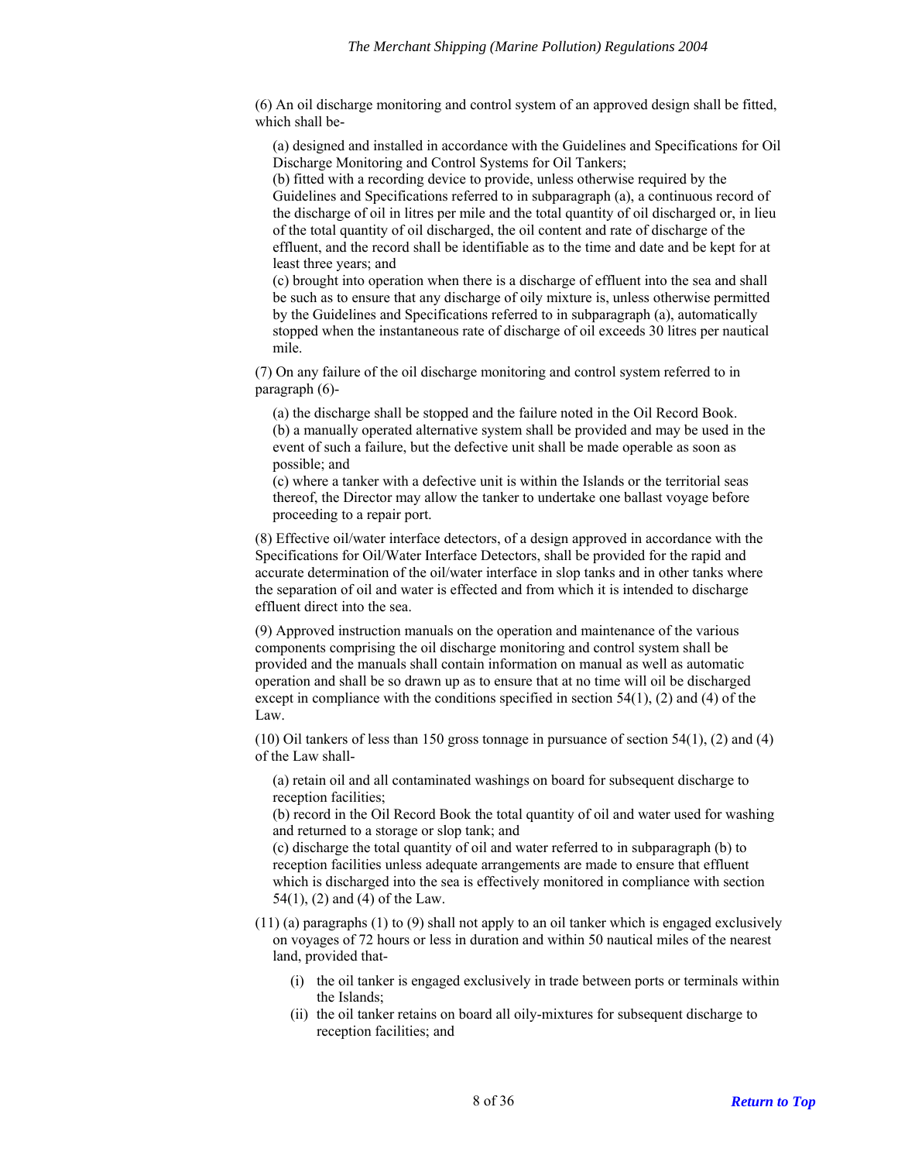(6) An oil discharge monitoring and control system of an approved design shall be fitted, which shall be-

(a) designed and installed in accordance with the Guidelines and Specifications for Oil Discharge Monitoring and Control Systems for Oil Tankers;

(b) fitted with a recording device to provide, unless otherwise required by the Guidelines and Specifications referred to in subparagraph (a), a continuous record of the discharge of oil in litres per mile and the total quantity of oil discharged or, in lieu of the total quantity of oil discharged, the oil content and rate of discharge of the effluent, and the record shall be identifiable as to the time and date and be kept for at least three years; and

(c) brought into operation when there is a discharge of effluent into the sea and shall be such as to ensure that any discharge of oily mixture is, unless otherwise permitted by the Guidelines and Specifications referred to in subparagraph (a), automatically stopped when the instantaneous rate of discharge of oil exceeds 30 litres per nautical mile.

(7) On any failure of the oil discharge monitoring and control system referred to in paragraph (6)-

(a) the discharge shall be stopped and the failure noted in the Oil Record Book. (b) a manually operated alternative system shall be provided and may be used in the event of such a failure, but the defective unit shall be made operable as soon as possible; and

(c) where a tanker with a defective unit is within the Islands or the territorial seas thereof, the Director may allow the tanker to undertake one ballast voyage before proceeding to a repair port.

(8) Effective oil/water interface detectors, of a design approved in accordance with the Specifications for Oil/Water Interface Detectors, shall be provided for the rapid and accurate determination of the oil/water interface in slop tanks and in other tanks where the separation of oil and water is effected and from which it is intended to discharge effluent direct into the sea.

(9) Approved instruction manuals on the operation and maintenance of the various components comprising the oil discharge monitoring and control system shall be provided and the manuals shall contain information on manual as well as automatic operation and shall be so drawn up as to ensure that at no time will oil be discharged except in compliance with the conditions specified in section  $54(1)$ , (2) and (4) of the Law.

(10) Oil tankers of less than 150 gross tonnage in pursuance of section 54(1), (2) and (4) of the Law shall-

(a) retain oil and all contaminated washings on board for subsequent discharge to reception facilities;

(b) record in the Oil Record Book the total quantity of oil and water used for washing and returned to a storage or slop tank; and

(c) discharge the total quantity of oil and water referred to in subparagraph (b) to reception facilities unless adequate arrangements are made to ensure that effluent which is discharged into the sea is effectively monitored in compliance with section 54(1), (2) and (4) of the Law.

(11) (a) paragraphs (1) to (9) shall not apply to an oil tanker which is engaged exclusively on voyages of 72 hours or less in duration and within 50 nautical miles of the nearest land, provided that-

- (i) the oil tanker is engaged exclusively in trade between ports or terminals within the Islands;
- (ii) the oil tanker retains on board all oily-mixtures for subsequent discharge to reception facilities; and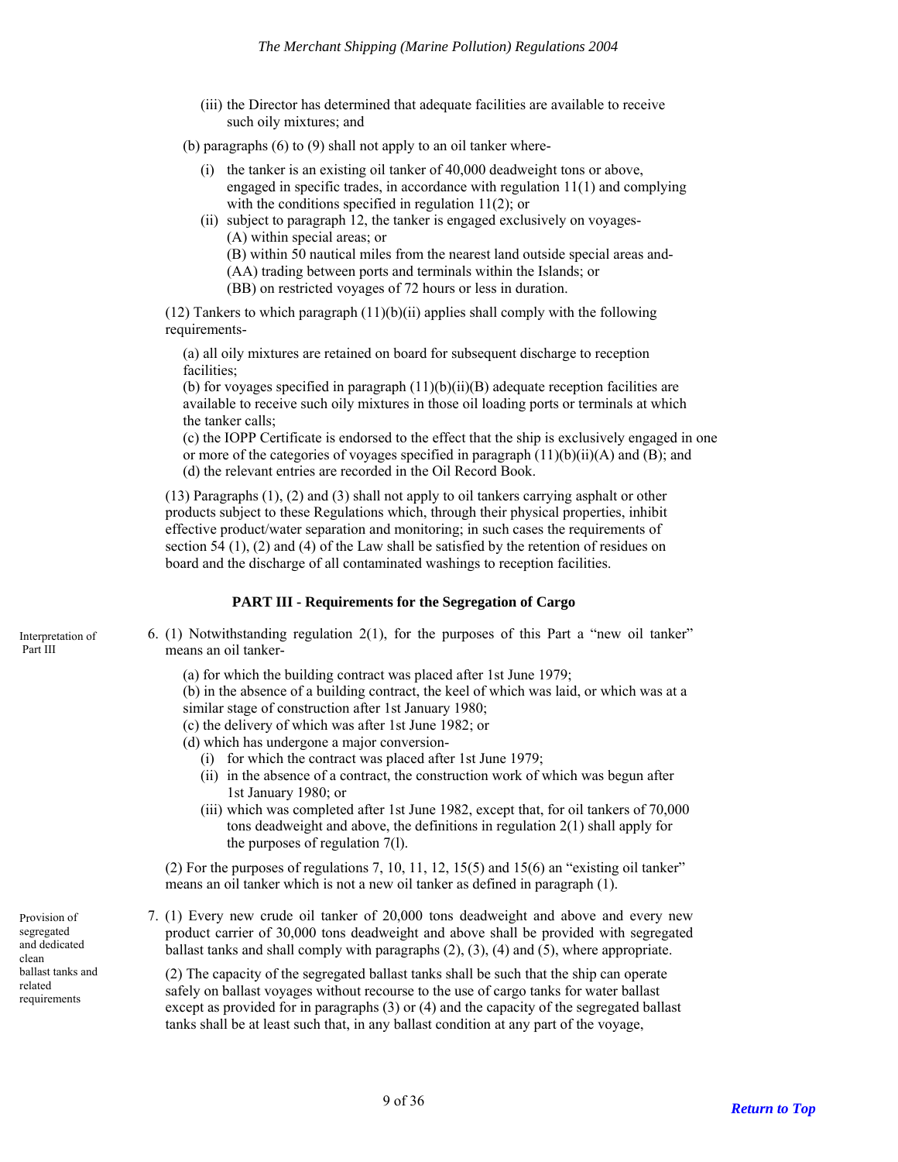(iii) the Director has determined that adequate facilities are available to receive such oily mixtures; and

(b) paragraphs (6) to (9) shall not apply to an oil tanker where-

- (i) the tanker is an existing oil tanker of 40,000 deadweight tons or above, engaged in specific trades, in accordance with regulation 11(1) and complying with the conditions specified in regulation 11(2); or
- (ii) subject to paragraph 12, the tanker is engaged exclusively on voyages- (A) within special areas; or

(B) within 50 nautical miles from the nearest land outside special areas and-

(AA) trading between ports and terminals within the Islands; or

(BB) on restricted voyages of 72 hours or less in duration.

(12) Tankers to which paragraph  $(11)(b)(ii)$  applies shall comply with the following requirements-

(a) all oily mixtures are retained on board for subsequent discharge to reception facilities;

(b) for voyages specified in paragraph  $(11)(b)(ii)(B)$  adequate reception facilities are available to receive such oily mixtures in those oil loading ports or terminals at which the tanker calls;

(c) the IOPP Certificate is endorsed to the effect that the ship is exclusively engaged in one or more of the categories of voyages specified in paragraph  $(11)(b)(ii)(A)$  and  $(B)$ ; and (d) the relevant entries are recorded in the Oil Record Book.

(13) Paragraphs (1), (2) and (3) shall not apply to oil tankers carrying asphalt or other products subject to these Regulations which, through their physical properties, inhibit effective product/water separation and monitoring; in such cases the requirements of section 54  $(1)$ ,  $(2)$  and  $(4)$  of the Law shall be satisfied by the retention of residues on board and the discharge of all contaminated washings to reception facilities.

#### **PART III - Requirements for the Segregation of Cargo**

6. (1) Notwithstanding regulation 2(1), for the purposes of this Part a "new oil tanker" means an oil tanker-

(a) for which the building contract was placed after 1st June 1979;

(b) in the absence of a building contract, the keel of which was laid, or which was at a similar stage of construction after 1st January 1980;

(c) the delivery of which was after 1st June 1982; or

- (d) which has undergone a major conversion-
	- (i) for which the contract was placed after 1st June 1979;
	- (ii) in the absence of a contract, the construction work of which was begun after 1st January 1980; or
	- (iii) which was completed after 1st June 1982, except that, for oil tankers of 70,000 tons deadweight and above, the definitions in regulation 2(1) shall apply for the purposes of regulation 7(l).

(2) For the purposes of regulations 7, 10, 11, 12, 15(5) and 15(6) an "existing oil tanker" means an oil tanker which is not a new oil tanker as defined in paragraph (1).

7. (1) Every new crude oil tanker of 20,000 tons deadweight and above and every new product carrier of 30,000 tons deadweight and above shall be provided with segregated ballast tanks and shall comply with paragraphs (2), (3), (4) and (5), where appropriate.

(2) The capacity of the segregated ballast tanks shall be such that the ship can operate safely on ballast voyages without recourse to the use of cargo tanks for water ballast except as provided for in paragraphs (3) or (4) and the capacity of the segregated ballast tanks shall be at least such that, in any ballast condition at any part of the voyage,

<span id="page-8-1"></span><span id="page-8-0"></span>Interpretation of Part III

<span id="page-8-2"></span>Provision of segregated and dedicated clean ballast tanks and related requirements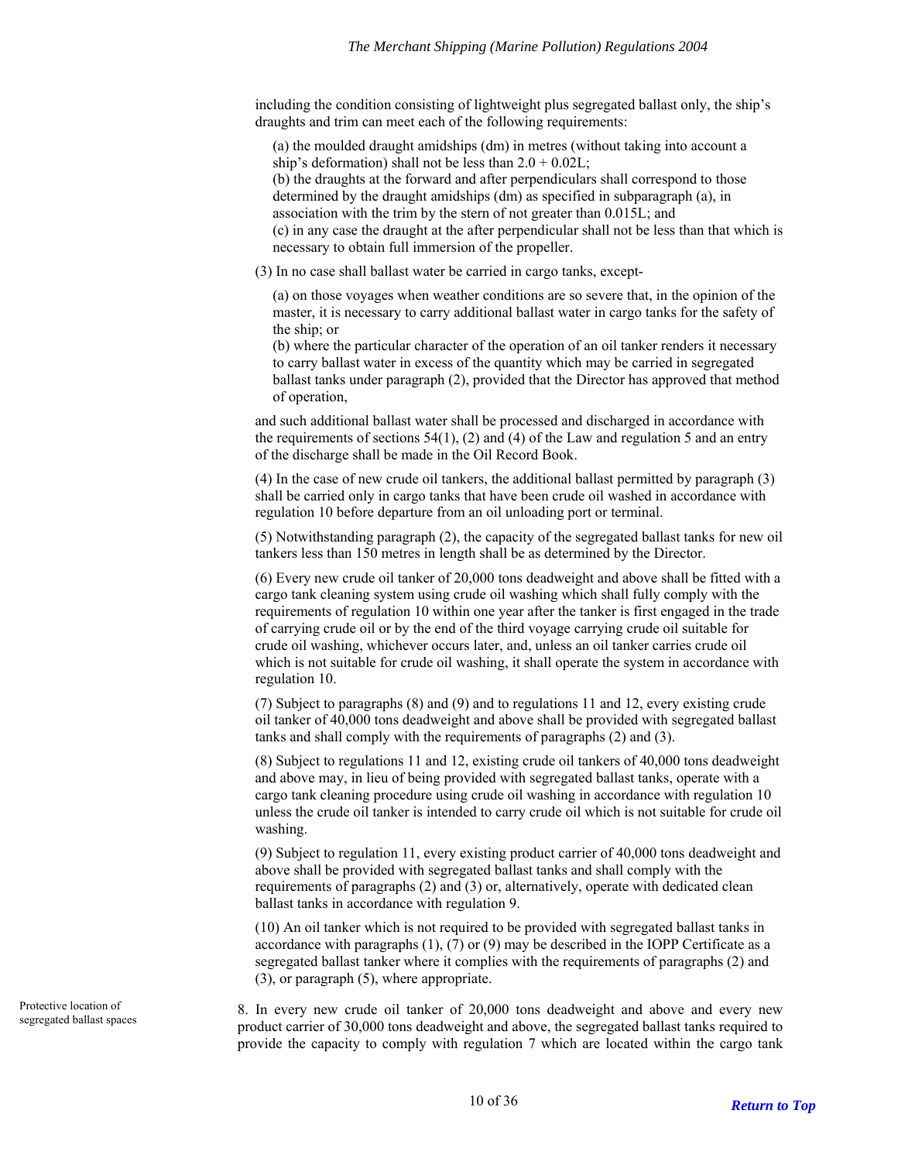including the condition consisting of lightweight plus segregated ballast only, the ship's draughts and trim can meet each of the following requirements:

(a) the moulded draught amidships (dm) in metres (without taking into account a ship's deformation) shall not be less than  $2.0 + 0.02L$ ;

(b) the draughts at the forward and after perpendiculars shall correspond to those determined by the draught amidships (dm) as specified in subparagraph (a), in association with the trim by the stern of not greater than 0.015L; and

(c) in any case the draught at the after perpendicular shall not be less than that which is necessary to obtain full immersion of the propeller.

(3) In no case shall ballast water be carried in cargo tanks, except-

(a) on those voyages when weather conditions are so severe that, in the opinion of the master, it is necessary to carry additional ballast water in cargo tanks for the safety of the ship; or

(b) where the particular character of the operation of an oil tanker renders it necessary to carry ballast water in excess of the quantity which may be carried in segregated ballast tanks under paragraph (2), provided that the Director has approved that method of operation,

and such additional ballast water shall be processed and discharged in accordance with the requirements of sections  $54(1)$ , (2) and (4) of the Law and regulation 5 and an entry of the discharge shall be made in the Oil Record Book.

(4) In the case of new crude oil tankers, the additional ballast permitted by paragraph (3) shall be carried only in cargo tanks that have been crude oil washed in accordance with regulation 10 before departure from an oil unloading port or terminal.

(5) Notwithstanding paragraph (2), the capacity of the segregated ballast tanks for new oil tankers less than 150 metres in length shall be as determined by the Director.

(6) Every new crude oil tanker of 20,000 tons deadweight and above shall be fitted with a cargo tank cleaning system using crude oil washing which shall fully comply with the requirements of regulation 10 within one year after the tanker is first engaged in the trade of carrying crude oil or by the end of the third voyage carrying crude oil suitable for crude oil washing, whichever occurs later, and, unless an oil tanker carries crude oil which is not suitable for crude oil washing, it shall operate the system in accordance with regulation 10.

(7) Subject to paragraphs (8) and (9) and to regulations 11 and 12, every existing crude oil tanker of 40,000 tons deadweight and above shall be provided with segregated ballast tanks and shall comply with the requirements of paragraphs (2) and (3).

(8) Subject to regulations 11 and 12, existing crude oil tankers of 40,000 tons deadweight and above may, in lieu of being provided with segregated ballast tanks, operate with a cargo tank cleaning procedure using crude oil washing in accordance with regulation 10 unless the crude oil tanker is intended to carry crude oil which is not suitable for crude oil washing.

(9) Subject to regulation 11, every existing product carrier of 40,000 tons deadweight and above shall be provided with segregated ballast tanks and shall comply with the requirements of paragraphs (2) and (3) or, alternatively, operate with dedicated clean ballast tanks in accordance with regulation 9.

(10) An oil tanker which is not required to be provided with segregated ballast tanks in accordance with paragraphs  $(1)$ ,  $(7)$  or  $(9)$  may be described in the IOPP Certificate as a segregated ballast tanker where it complies with the requirements of paragraphs (2) and (3), or paragraph (5), where appropriate.

8. In every new crude oil tanker of 20,000 tons deadweight and above and every new product carrier of 30,000 tons deadweight and above, the segregated ballast tanks required to provide the capacity to comply with regulation 7 which are located within the cargo tank

<span id="page-9-0"></span>Protective location of segregated ballast spaces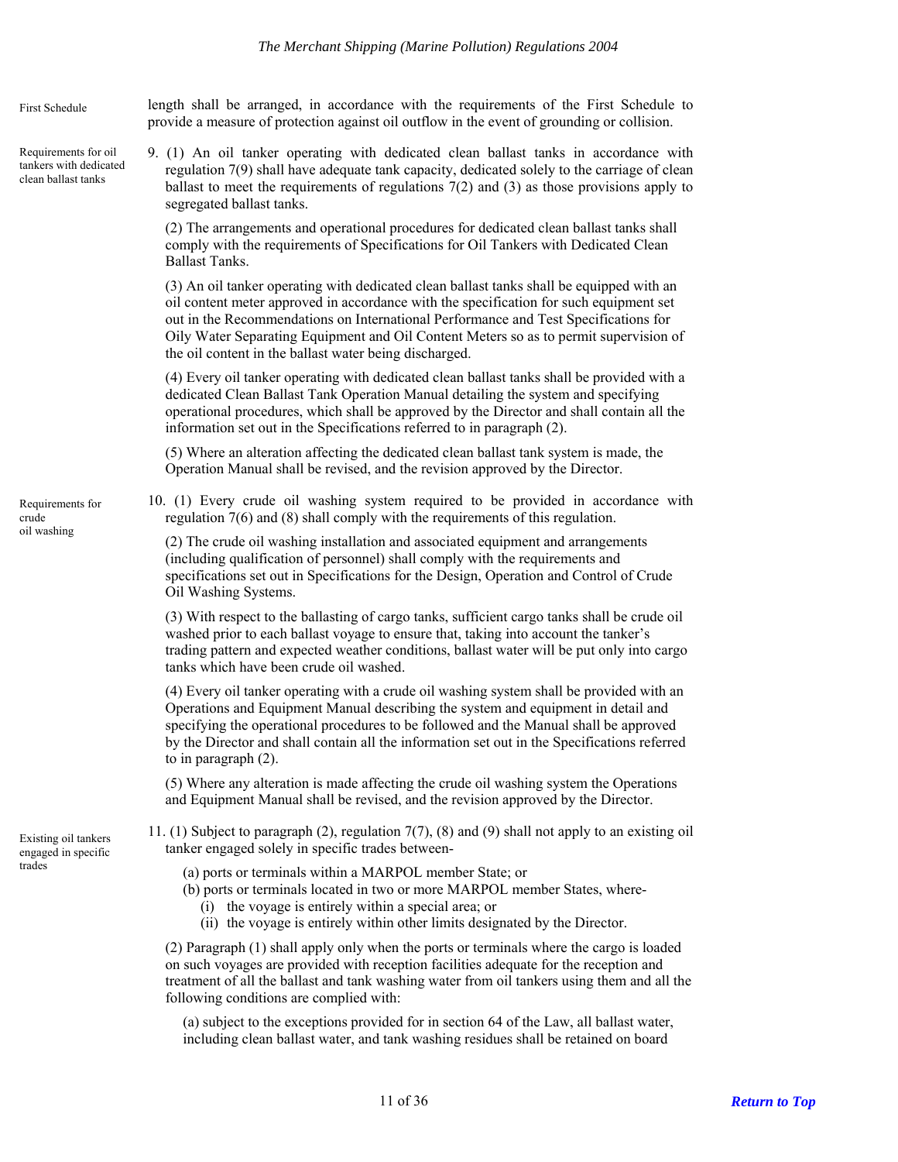length shall be arranged, in accordance with the requirements of the First Schedule to provide a measure of protection against oil outflow in the event of grounding or collision.

<span id="page-10-0"></span>9. (1) An oil tanker operating with dedicated clean ballast tanks in accordance with regulation 7(9) shall have adequate tank capacity, dedicated solely to the carriage of clean ballast to meet the requirements of regulations  $7(2)$  and  $(3)$  as those provisions apply to segregated ballast tanks. Requirements for oil tankers with dedicated clean ballast tanks

> (2) The arrangements and operational procedures for dedicated clean ballast tanks shall comply with the requirements of Specifications for Oil Tankers with Dedicated Clean Ballast Tanks.

(3) An oil tanker operating with dedicated clean ballast tanks shall be equipped with an oil content meter approved in accordance with the specification for such equipment set out in the Recommendations on International Performance and Test Specifications for Oily Water Separating Equipment and Oil Content Meters so as to permit supervision of the oil content in the ballast water being discharged.

(4) Every oil tanker operating with dedicated clean ballast tanks shall be provided with a dedicated Clean Ballast Tank Operation Manual detailing the system and specifying operational procedures, which shall be approved by the Director and shall contain all the information set out in the Specifications referred to in paragraph (2).

(5) Where an alteration affecting the dedicated clean ballast tank system is made, the Operation Manual shall be revised, and the revision approved by the Director.

10. (1) Every crude oil washing system required to be provided in accordance with regulation 7(6) and (8) shall comply with the requirements of this regulation.

 $(2)$  The crude oil washing installation and associated equipment and arrangements (including qualification of personnel) shall comply with the requirements and specifications set out in Specifications for the Design, Operation and Control of Crude Oil Washing Systems.

(3) With respect to the ballasting of cargo tanks, sufficient cargo tanks shall be crude oil washed prior to each ballast voyage to ensure that, taking into account the tanker's trading pattern and expected weather conditions, ballast water will be put only into cargo tanks which have been crude oil washed.

(4) Every oil tanker operating with a crude oil washing system shall be provided with an Operations and Equipment Manual describing the system and equipment in detail and specifying the operational procedures to be followed and the Manual shall be approved by the Director and shall contain all the information set out in the Specifications referred to in paragraph (2).

(5) Where any alteration is made affecting the crude oil washing system the Operations and Equipment Manual shall be revised, and the revision approved by the Director.

<span id="page-10-2"></span>11. (1) Subject to paragraph (2), regulation 7(7), (8) and (9) shall not apply to an existing oil Existing oil tankers<br>engaged in specific trades between-<br>engaged solely in specific trades between-

- trades (a) ports or terminals within a MARPOL member State; or
	- (b) ports or terminals located in two or more MARPOL member States, where-
		- (i) the voyage is entirely within a special area; or
		- (ii) the voyage is entirely within other limits designated by the Director.

(2) Paragraph (1) shall apply only when the ports or terminals where the cargo is loaded on such voyages are provided with reception facilities adequate for the reception and treatment of all the ballast and tank washing water from oil tankers using them and all the following conditions are complied with:

(a) subject to the exceptions provided for in section 64 of the Law, all ballast water, including clean ballast water, and tank washing residues shall be retained on board

<span id="page-10-1"></span>Requirements for crude<br>oil washing

First Schedule

engaged in specific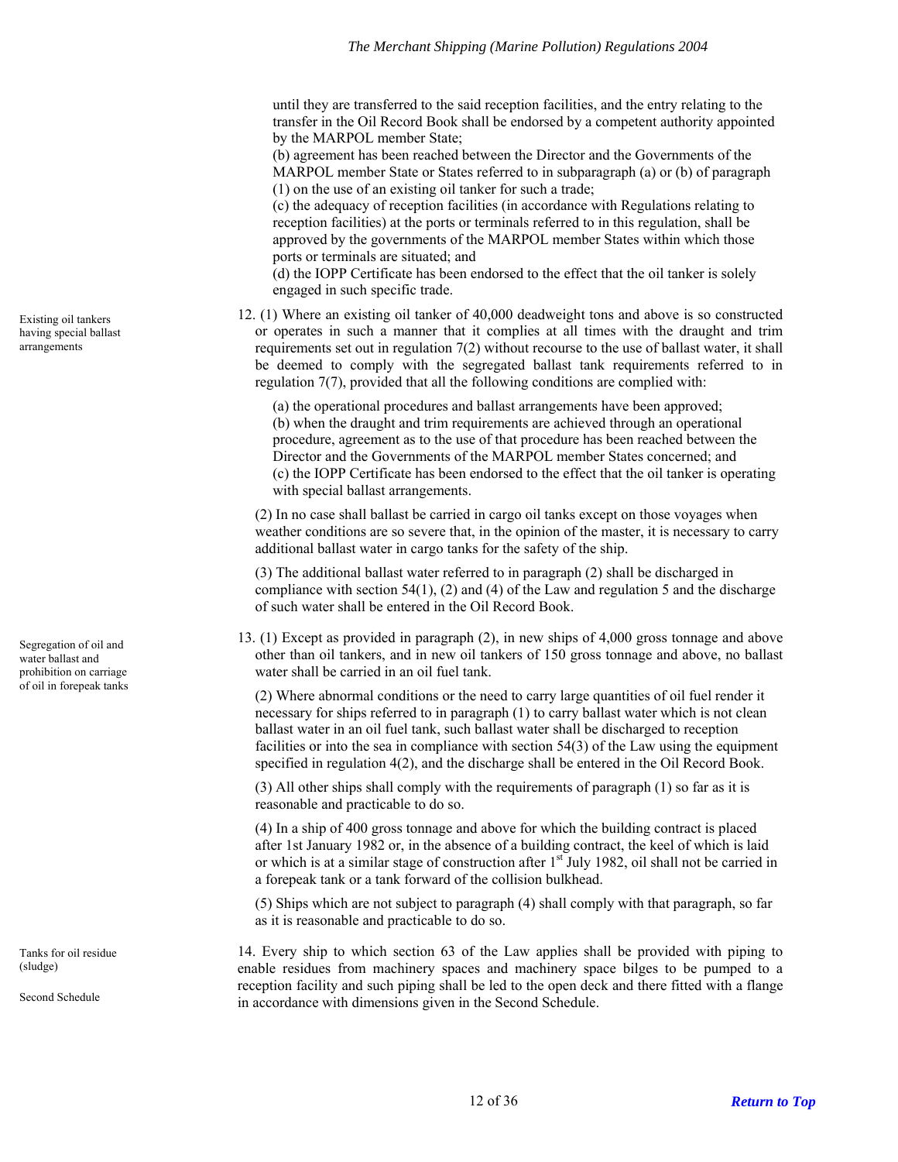until they are transferred to the said reception facilities, and the entry relating to the transfer in the Oil Record Book shall be endorsed by a competent authority appointed by the MARPOL member State;

(b) agreement has been reached between the Director and the Governments of the MARPOL member State or States referred to in subparagraph (a) or (b) of paragraph (1) on the use of an existing oil tanker for such a trade;

(c) the adequacy of reception facilities (in accordance with Regulations relating to reception facilities) at the ports or terminals referred to in this regulation, shall be approved by the governments of the MARPOL member States within which those ports or terminals are situated; and

(d) the IOPP Certificate has been endorsed to the effect that the oil tanker is solely engaged in such specific trade.

12. (1) Where an existing oil tanker of 40,000 deadweight tons and above is so constructed or operates in such a manner that it complies at all times with the draught and trim requirements set out in regulation 7(2) without recourse to the use of ballast water, it shall be deemed to comply with the segregated ballast tank requirements referred to in regulation 7(7), provided that all the following conditions are complied with:

(a) the operational procedures and ballast arrangements have been approved; (b) when the draught and trim requirements are achieved through an operational procedure, agreement as to the use of that procedure has been reached between the Director and the Governments of the MARPOL member States concerned; and (c) the IOPP Certificate has been endorsed to the effect that the oil tanker is operating with special ballast arrangements.

(2) In no case shall ballast be carried in cargo oil tanks except on those voyages when weather conditions are so severe that, in the opinion of the master, it is necessary to carry additional ballast water in cargo tanks for the safety of the ship.

(3) The additional ballast water referred to in paragraph (2) shall be discharged in compliance with section 54(1), (2) and (4) of the Law and regulation 5 and the discharge of such water shall be entered in the Oil Record Book.

13. (1) Except as provided in paragraph (2), in new ships of 4,000 gross tonnage and above other than oil tankers, and in new oil tankers of 150 gross tonnage and above, no ballast water shall be carried in an oil fuel tank.

of oil in forepeak tanks (2) Where abnormal conditions or the need to carry large quantities of oil fuel render it necessary for ships referred to in paragraph (1) to carry ballast water which is not clean ballast water in an oil fuel tank, such ballast water shall be discharged to reception facilities or into the sea in compliance with section 54(3) of the Law using the equipment specified in regulation 4(2), and the discharge shall be entered in the Oil Record Book.

> (3) All other ships shall comply with the requirements of paragraph (1) so far as it is reasonable and practicable to do so.

(4) In a ship of 400 gross tonnage and above for which the building contract is placed after 1st January 1982 or, in the absence of a building contract, the keel of which is laid or which is at a similar stage of construction after 1<sup>st</sup> July 1982, oil shall not be carried in a forepeak tank or a tank forward of the collision bulkhead.

(5) Ships which are not subject to paragraph (4) shall comply with that paragraph, so far as it is reasonable and practicable to do so.

14. Every ship to which section 63 of the Law applies shall be provided with piping to enable residues from machinery spaces and machinery space bilges to be pumped to a reception facility and such piping shall be led to the open deck and there fitted with a flange in accordance with dimensions given in the Second Schedule.

<span id="page-11-0"></span>Existing oil tankers having special ballast arrangements

<span id="page-11-1"></span>Segregation of oil and water ballast and prohibition on carriage

<span id="page-11-2"></span>Tanks for oil residue (sludge)

Second Schedule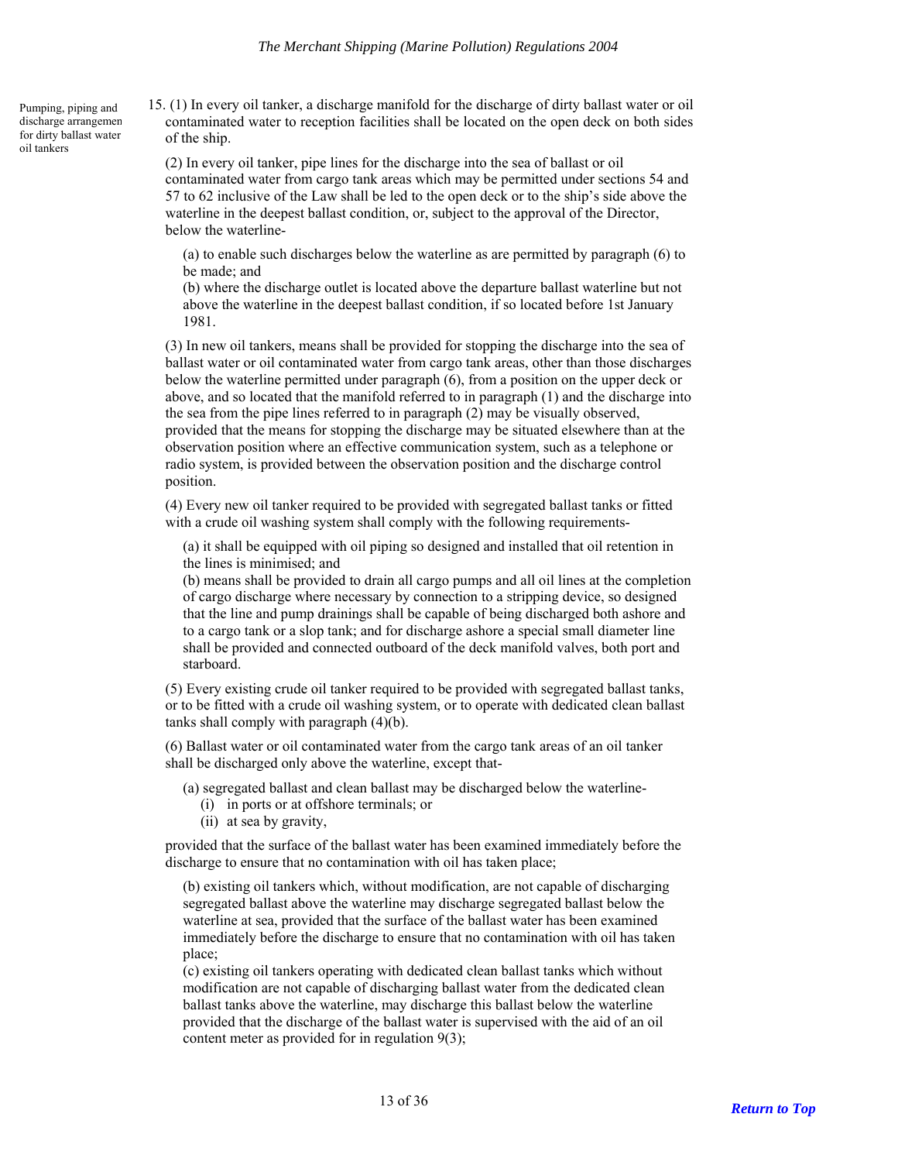15. (1) In every oil tanker, a discharge manifold for the discharge of dirty ballast water or oil contaminated water to reception facilities shall be located on the open deck on both sides of the ship.

(2) In every oil tanker, pipe lines for the discharge into the sea of ballast or oil contaminated water from cargo tank areas which may be permitted under sections 54 and 57 to 62 inclusive of the Law shall be led to the open deck or to the ship's side above the waterline in the deepest ballast condition, or, subject to the approval of the Director, below the waterline-

(a) to enable such discharges below the waterline as are permitted by paragraph (6) to be made; and

(b) where the discharge outlet is located above the departure ballast waterline but not above the waterline in the deepest ballast condition, if so located before 1st January 1981.

(3) In new oil tankers, means shall be provided for stopping the discharge into the sea of ballast water or oil contaminated water from cargo tank areas, other than those discharges below the waterline permitted under paragraph (6), from a position on the upper deck or above, and so located that the manifold referred to in paragraph (1) and the discharge into the sea from the pipe lines referred to in paragraph (2) may be visually observed, provided that the means for stopping the discharge may be situated elsewhere than at the observation position where an effective communication system, such as a telephone or radio system, is provided between the observation position and the discharge control position.

(4) Every new oil tanker required to be provided with segregated ballast tanks or fitted with a crude oil washing system shall comply with the following requirements-

(a) it shall be equipped with oil piping so designed and installed that oil retention in the lines is minimised; and

(b) means shall be provided to drain all cargo pumps and all oil lines at the completion of cargo discharge where necessary by connection to a stripping device, so designed that the line and pump drainings shall be capable of being discharged both ashore and to a cargo tank or a slop tank; and for discharge ashore a special small diameter line shall be provided and connected outboard of the deck manifold valves, both port and starboard.

(5) Every existing crude oil tanker required to be provided with segregated ballast tanks, or to be fitted with a crude oil washing system, or to operate with dedicated clean ballast tanks shall comply with paragraph (4)(b).

(6) Ballast water or oil contaminated water from the cargo tank areas of an oil tanker shall be discharged only above the waterline, except that-

(a) segregated ballast and clean ballast may be discharged below the waterline-

- (i) in ports or at offshore terminals; or
- (ii) at sea by gravity,

<span id="page-12-0"></span>Pumping, piping and discharge arrangemen for dirty ballast water

oil tankers

provided that the surface of the ballast water has been examined immediately before the discharge to ensure that no contamination with oil has taken place;

(b) existing oil tankers which, without modification, are not capable of discharging segregated ballast above the waterline may discharge segregated ballast below the waterline at sea, provided that the surface of the ballast water has been examined immediately before the discharge to ensure that no contamination with oil has taken place;

(c) existing oil tankers operating with dedicated clean ballast tanks which without modification are not capable of discharging ballast water from the dedicated clean ballast tanks above the waterline, may discharge this ballast below the waterline provided that the discharge of the ballast water is supervised with the aid of an oil content meter as provided for in regulation 9(3);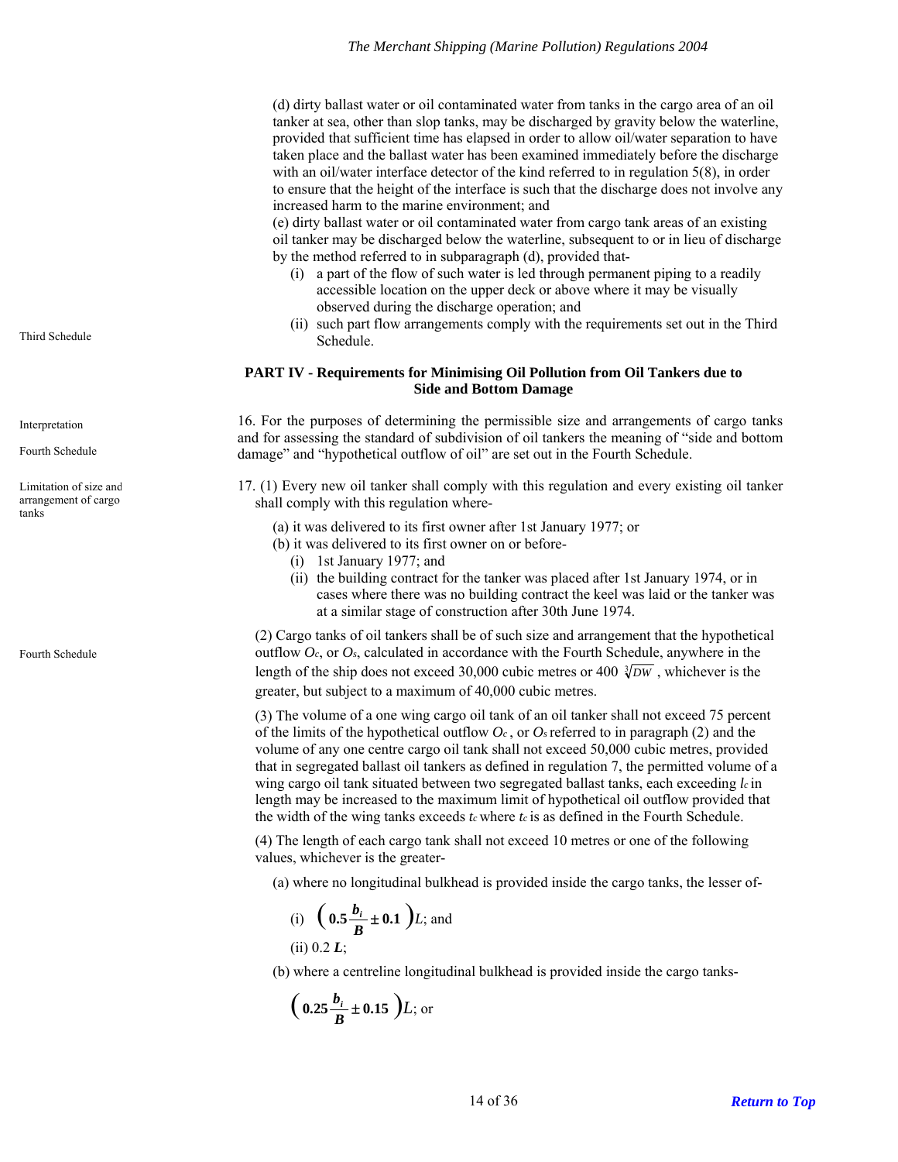(d) dirty ballast water or oil contaminated water from tanks in the cargo area of an oil tanker at sea, other than slop tanks, may be discharged by gravity below the waterline, provided that sufficient time has elapsed in order to allow oil/water separation to have taken place and the ballast water has been examined immediately before the discharge with an oil/water interface detector of the kind referred to in regulation 5(8), in order to ensure that the height of the interface is such that the discharge does not involve any increased harm to the marine environment; and

(e) dirty ballast water or oil contaminated water from cargo tank areas of an existing oil tanker may be discharged below the waterline, subsequent to or in lieu of discharge by the method referred to in subparagraph (d), provided that-

- (i) a part of the flow of such water is led through permanent piping to a readily accessible location on the upper deck or above where it may be visually observed during the discharge operation; and
- (ii) such part flow arrangements comply with the requirements set out in the Third Third Schedule. Schedule.

#### **PART IV - Requirements for Minimising Oil Pollution from Oil Tankers due to Side and Bottom Damage**

16. For the purposes of determining the permissible size and arrangements of cargo tanks and for assessing the standard of subdivision of oil tankers the meaning of "side and bottom damage" and "hypothetical outflow of oil" are set out in the Fourth Schedule.

17. (1) Every new oil tanker shall comply with this regulation and every existing oil tanker shall comply with this regulation where-

- (a) it was delivered to its first owner after 1st January 1977; or
- (b) it was delivered to its first owner on or before-
	- (i) 1st January 1977; and
	- (ii) the building contract for the tanker was placed after 1st January 1974, or in cases where there was no building contract the keel was laid or the tanker was at a similar stage of construction after 30th June 1974.

(2) Cargo tanks of oil tankers shall be of such size and arrangement that the hypothetical outflow *Oc*, or *Os*, calculated in accordance with the Fourth Schedule, anywhere in the length of the ship does not exceed 30,000 cubic metres or 400  $\sqrt[3]{DW}$ , whichever is the greater, but subject to a maximum of 40,000 cubic metres.

(3) The volume of a one wing cargo oil tank of an oil tanker shall not exceed 75 percent of the limits of the hypothetical outflow  $O_c$ , or  $O_s$  referred to in paragraph (2) and the volume of any one centre cargo oil tank shall not exceed 50,000 cubic metres, provided that in segregated ballast oil tankers as defined in regulation 7, the permitted volume of a wing cargo oil tank situated between two segregated ballast tanks, each exceeding *lc* in length may be increased to the maximum limit of hypothetical oil outflow provided that the width of the wing tanks exceeds *t<sub>c</sub>* where *t<sub>c</sub>* is as defined in the Fourth Schedule.

(4) The length of each cargo tank shall not exceed 10 metres or one of the following values, whichever is the greater-

(a) where no longitudinal bulkhead is provided inside the cargo tanks, the lesser of-

(i) 
$$
(0.5\frac{b_i}{B} \pm 0.1) L
$$
; and  
(ii) 0.2 L:

(b) where a centreline longitudinal bulkhead is provided inside the cargo tanks-

 $\left( 0.25 \frac{b_i}{B} \pm 0.15 \right) L$ ; or

<span id="page-13-0"></span>

<span id="page-13-1"></span>Interpretation

Fourth Schedule

<span id="page-13-2"></span>Limitation of size and arrangement of cargo tanks

Fourth Schedule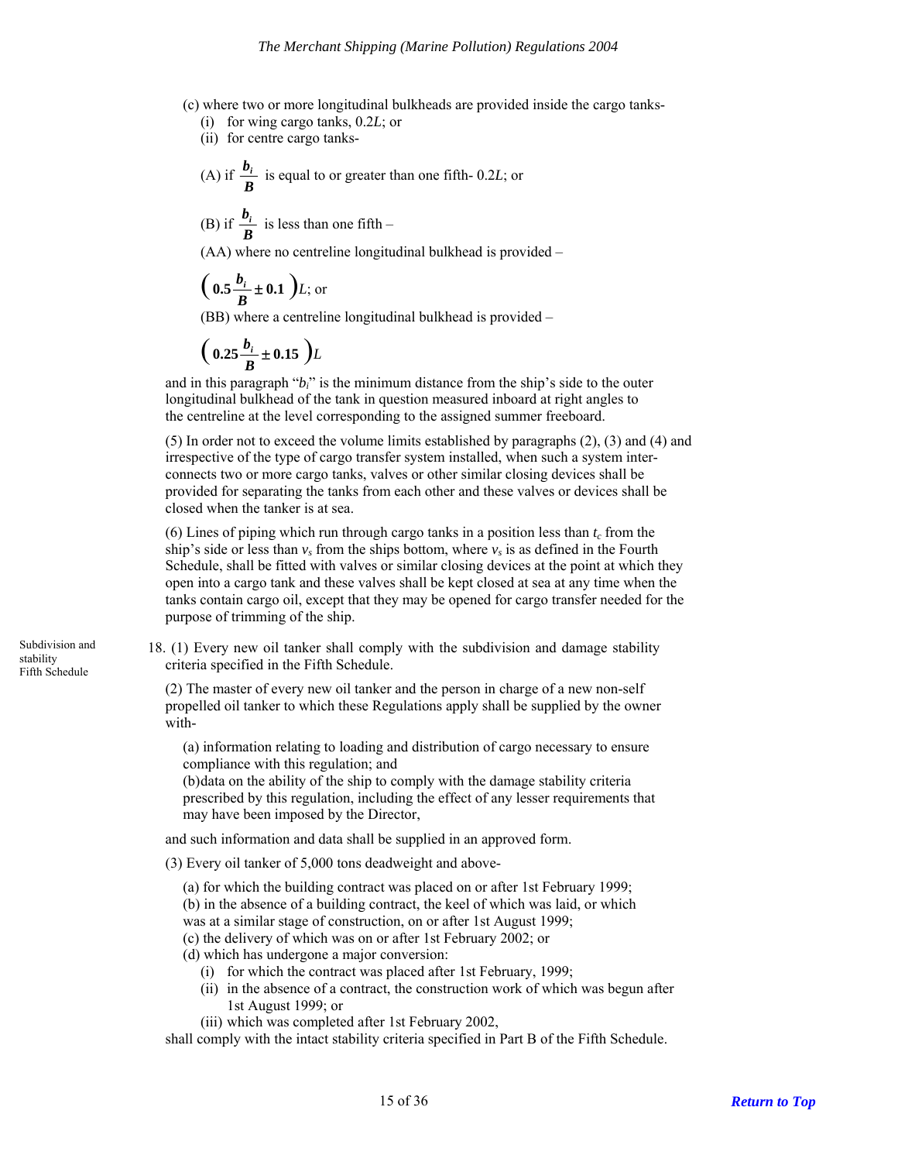(c) where two or more longitudinal bulkheads are provided inside the cargo tanks-

(i) for wing cargo tanks, 0.2*L*; or

(ii) for centre cargo tanks-

(A) if 
$$
\frac{b_i}{B}
$$
 is equal to or greater than one fifth- 0.2L; or

(B) if 
$$
\frac{b_i}{B}
$$
 is less than one fifth –

(AA) where no centreline longitudinal bulkhead is provided –

$$
\left(\right.0.5\frac{b_i}{B} \pm 0.1\right) L;\text{ or }
$$

(BB) where a centreline longitudinal bulkhead is provided –

$$
\left(\ 0.25 \frac{b_i}{B} \pm 0.15\ \right) L
$$

and in this paragraph " $b_i$ " is the minimum distance from the ship's side to the outer longitudinal bulkhead of the tank in question measured inboard at right angles to the centreline at the level corresponding to the assigned summer freeboard.

(5) In order not to exceed the volume limits established by paragraphs (2), (3) and (4) and irrespective of the type of cargo transfer system installed, when such a system interconnects two or more cargo tanks, valves or other similar closing devices shall be provided for separating the tanks from each other and these valves or devices shall be closed when the tanker is at sea.

(6) Lines of piping which run through cargo tanks in a position less than  $t_c$  from the ship's side or less than  $v_s$  from the ships bottom, where  $v_s$  is as defined in the Fourth Schedule, shall be fitted with valves or similar closing devices at the point at which they open into a cargo tank and these valves shall be kept closed at sea at any time when the tanks contain cargo oil, except that they may be opened for cargo transfer needed for the purpose of trimming of the ship.

18. (1) Every new oil tanker shall comply with the subdivision and damage stability criteria specified in the Fifth Schedule.

(2) The master of every new oil tanker and the person in charge of a new non-self propelled oil tanker to which these Regulations apply shall be supplied by the owner with-

(a) information relating to loading and distribution of cargo necessary to ensure compliance with this regulation; and

(b) data on the ability of the ship to comply with the damage stability criteria prescribed by this regulation, including the effect of any lesser requirements that may have been imposed by the Director,

and such information and data shall be supplied in an approved form.

(3) Every oil tanker of 5,000 tons deadweight and above-

(a) for which the building contract was placed on or after 1st February 1999; (b) in the absence of a building contract, the keel of which was laid, or which was at a similar stage of construction, on or after 1st August 1999;

- (c) the delivery of which was on or after 1st February 2002; or
- (d) which has undergone a major conversion:
	- (i) for which the contract was placed after 1st February, 1999;
	- (ii) in the absence of a contract, the construction work of which was begun after 1st August 1999; or
	- (iii) which was completed after 1st February 2002,

shall comply with the intact stability criteria specified in Part B of the Fifth Schedule.

<span id="page-14-0"></span>Subdivision and stability Fifth Schedule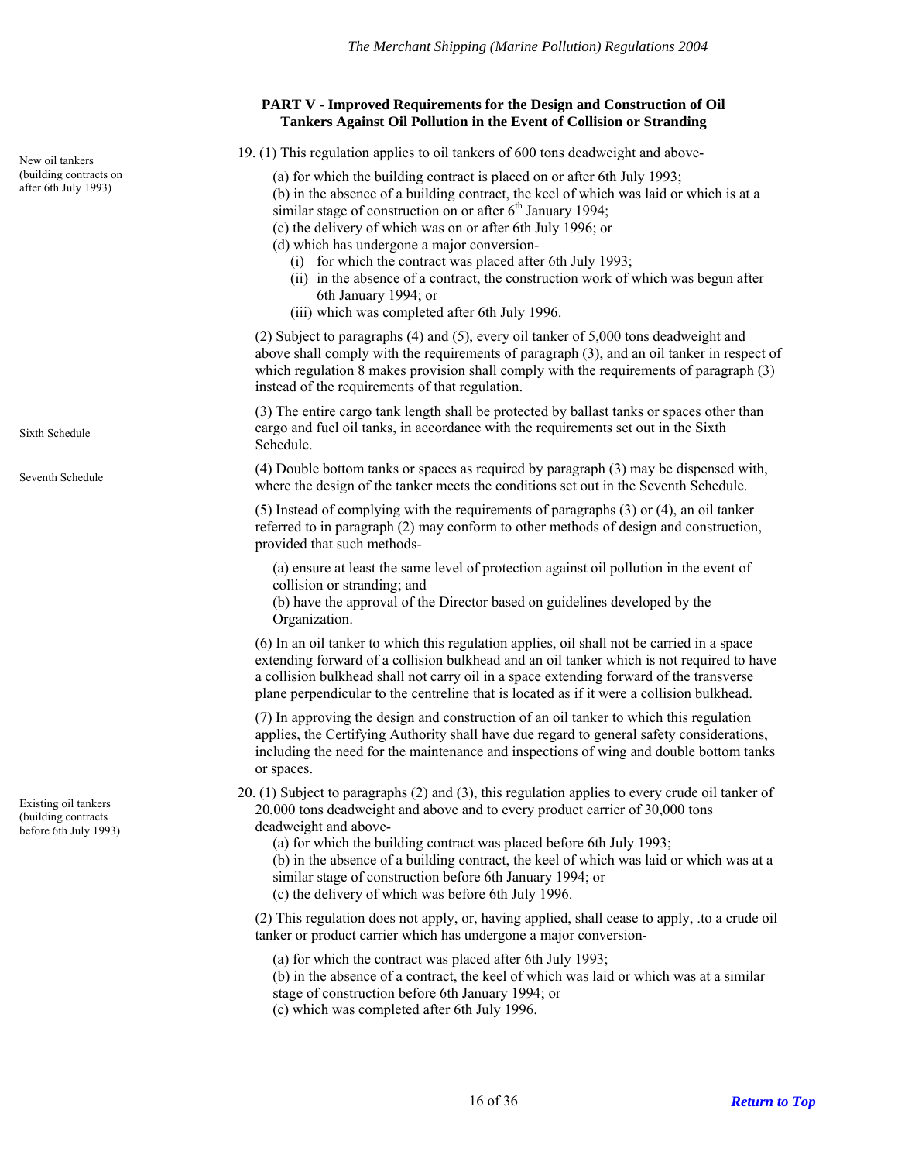## **PART V - Improved Requirements for the Design and Construction of Oil Tankers Against Oil Pollution in the Event of Collision or Stranding**

<span id="page-15-1"></span><span id="page-15-0"></span>19. (1) This regulation applies to oil tankers of 600 tons deadweight and above- New oil tankers

(a) for which the building contract is placed on or after 6th July 1993;

- (b) in the absence of a building contract, the keel of which was laid or which is at a similar stage of construction on or after  $6<sup>th</sup>$  January 1994;
- (c) the delivery of which was on or after 6th July 1996; or

(d) which has undergone a major conversion-

- (i) for which the contract was placed after 6th July 1993;
- (ii) in the absence of a contract, the construction work of which was begun after 6th January 1994; or
- (iii) which was completed after 6th July 1996.

(2) Subject to paragraphs (4) and (5), every oil tanker of 5,000 tons deadweight and above shall comply with the requirements of paragraph (3), and an oil tanker in respect of which regulation 8 makes provision shall comply with the requirements of paragraph (3) instead of the requirements of that regulation.

(3) The entire cargo tank length shall be protected by ballast tanks or spaces other than cargo and fuel oil tanks, in accordance with the requirements set out in the Sixth Schedule.

(4) Double bottom tanks or spaces as required by paragraph (3) may be dispensed with, Seventh Schedule<br>where the design of the tanker meets the conditions set out in the Seventh Schedule.

> (5) Instead of complying with the requirements of paragraphs (3) or (4), an oil tanker referred to in paragraph (2) may conform to other methods of design and construction, provided that such methods-

(a) ensure at least the same level of protection against oil pollution in the event of collision or stranding; and

(b) have the approval of the Director based on guidelines developed by the Organization.

(6) In an oil tanker to which this regulation applies, oil shall not be carried in a space extending forward of a collision bulkhead and an oil tanker which is not required to have a collision bulkhead shall not carry oil in a space extending forward of the transverse plane perpendicular to the centreline that is located as if it were a collision bulkhead.

(7) In approving the design and construction of an oil tanker to which this regulation applies, the Certifying Authority shall have due regard to general safety considerations, including the need for the maintenance and inspections of wing and double bottom tanks or spaces.

20. (1) Subject to paragraphs (2) and (3), this regulation applies to every crude oil tanker of 20,000 tons deadweight and above and to every product carrier of 30,000 tons deadweight and above-

(a) for which the building contract was placed before 6th July 1993;

(b) in the absence of a building contract, the keel of which was laid or which was at a similar stage of construction before 6th January 1994; or

(c) the delivery of which was before 6th July 1996.

(2) This regulation does not apply, or, having applied, shall cease to apply, .to a crude oil tanker or product carrier which has undergone a major conversion-

(a) for which the contract was placed after 6th July 1993;

(b) in the absence of a contract, the keel of which was laid or which was at a similar stage of construction before 6th January 1994; or

(c) which was completed after 6th July 1996.

<span id="page-15-2"></span>Existing oil tankers (building contracts before 6th July 1993)

(building contracts on<br>after 6th July 1993)

Sixth Schedule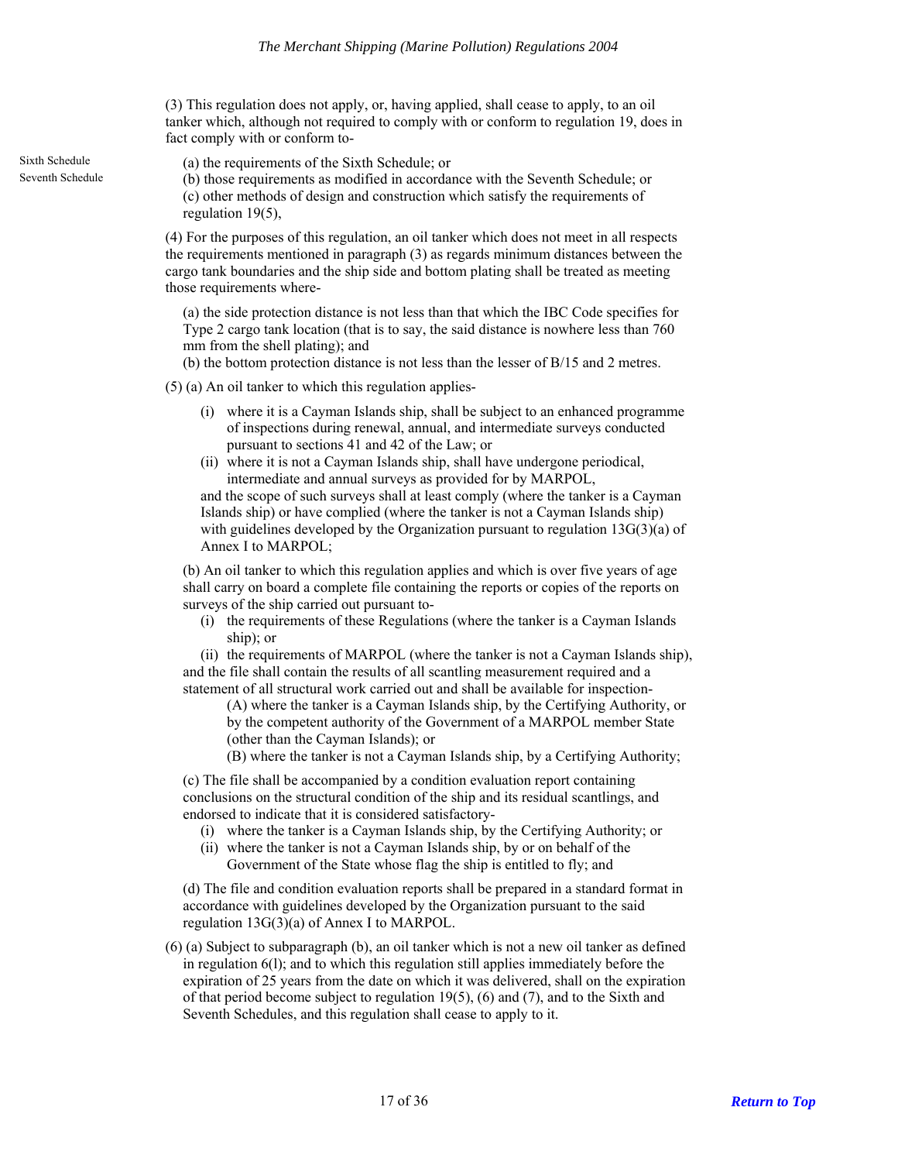(3) This regulation does not apply, or, having applied, shall cease to apply, to an oil tanker which, although not required to comply with or conform to regulation 19, does in fact comply with or conform to-

Sixth Schedule (a) the requirements of the Sixth Schedule; or

Seventh Schedule (b) those requirements as modified in accordance with the Seventh Schedule; or (c) other methods of design and construction which satisfy the requirements of regulation 19(5),

> (4) For the purposes of this regulation, an oil tanker which does not meet in all respects the requirements mentioned in paragraph (3) as regards minimum distances between the cargo tank boundaries and the ship side and bottom plating shall be treated as meeting those requirements where-

(a) the side protection distance is not less than that which the IBC Code specifies for Type 2 cargo tank location (that is to say, the said distance is nowhere less than 760 mm from the shell plating); and

(b) the bottom protection distance is not less than the lesser of B/15 and 2 metres.

(5) (a) An oil tanker to which this regulation applies-

- (i) where it is a Cayman Islands ship, shall be subject to an enhanced programme of inspections during renewal, annual, and intermediate surveys conducted pursuant to sections 41 and 42 of the Law; or
- (ii) where it is not a Cayman Islands ship, shall have undergone periodical, intermediate and annual surveys as provided for by MARPOL,

and the scope of such surveys shall at least comply (where the tanker is a Cayman Islands ship) or have complied (where the tanker is not a Cayman Islands ship) with guidelines developed by the Organization pursuant to regulation  $13G(3)(a)$  of Annex I to MARPOL;

(b) An oil tanker to which this regulation applies and which is over five years of age shall carry on board a complete file containing the reports or copies of the reports on surveys of the ship carried out pursuant to-

(i) the requirements of these Regulations (where the tanker is a Cayman Islands ship); or

(ii) the requirements of MARPOL (where the tanker is not a Cayman Islands ship), and the file shall contain the results of all scantling measurement required and a statement of all structural work carried out and shall be available for inspection-

(A) where the tanker is a Cayman Islands ship, by the Certifying Authority, or by the competent authority of the Government of a MARPOL member State (other than the Cayman Islands); or

(B) where the tanker is not a Cayman Islands ship, by a Certifying Authority;

(c) The file shall be accompanied by a condition evaluation report containing conclusions on the structural condition of the ship and its residual scantlings, and endorsed to indicate that it is considered satisfactory-

- (i) where the tanker is a Cayman Islands ship, by the Certifying Authority; or
- (ii) where the tanker is not a Cayman Islands ship, by or on behalf of the Government of the State whose flag the ship is entitled to fly; and

(d) The file and condition evaluation reports shall be prepared in a standard format in accordance with guidelines developed by the Organization pursuant to the said regulation 13G(3)(a) of Annex I to MARPOL.

(6) (a) Subject to subparagraph (b), an oil tanker which is not a new oil tanker as defined in regulation 6(l); and to which this regulation still applies immediately before the expiration of 25 years from the date on which it was delivered, shall on the expiration of that period become subject to regulation 19(5), (6) and (7), and to the Sixth and Seventh Schedules, and this regulation shall cease to apply to it.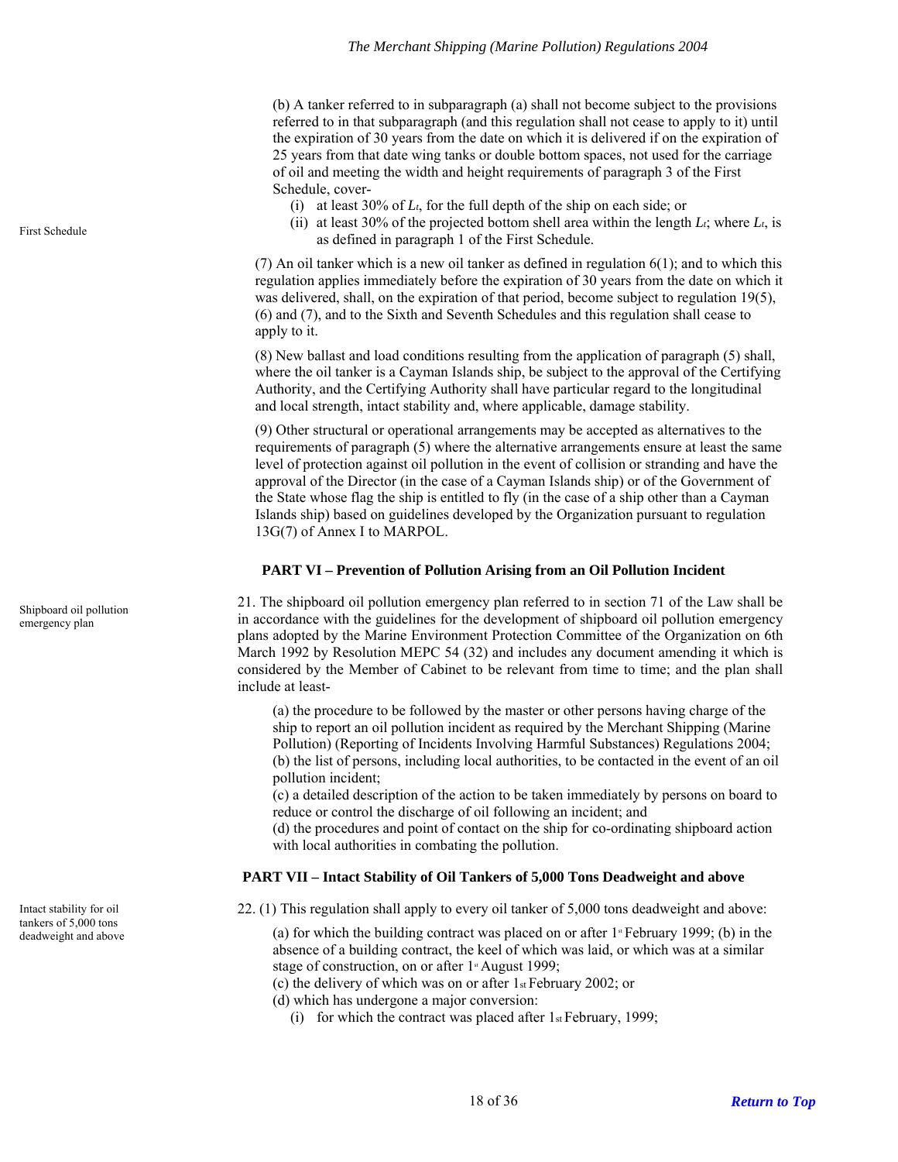(b) A tanker referred to in subparagraph (a) shall not become subject to the provisions referred to in that subparagraph (and this regulation shall not cease to apply to it) until the expiration of 30 years from the date on which it is delivered if on the expiration of 25 years from that date wing tanks or double bottom spaces, not used for the carriage of oil and meeting the width and height requirements of paragraph 3 of the First Schedule, cover-

- (i) at least 30% of *Lt*, for the full depth of the ship on each side; or
- (ii) at least 30% of the projected bottom shell area within the length  $L_t$ ; where  $L_t$ , is First Schedule<br>as defined in paragraph 1 of the First Schedule.

(7) An oil tanker which is a new oil tanker as defined in regulation 6(1); and to which this regulation applies immediately before the expiration of 30 years from the date on which it was delivered, shall, on the expiration of that period, become subject to regulation 19(5), (6) and (7), and to the Sixth and Seventh Schedules and this regulation shall cease to apply to it.

(8) New ballast and load conditions resulting from the application of paragraph (5) shall, where the oil tanker is a Cayman Islands ship, be subject to the approval of the Certifying Authority, and the Certifying Authority shall have particular regard to the longitudinal and local strength, intact stability and, where applicable, damage stability.

(9) Other structural or operational arrangements may be accepted as alternatives to the requirements of paragraph (5) where the alternative arrangements ensure at least the same level of protection against oil pollution in the event of collision or stranding and have the approval of the Director (in the case of a Cayman Islands ship) or of the Government of the State whose flag the ship is entitled to fly (in the case of a ship other than a Cayman Islands ship) based on guidelines developed by the Organization pursuant to regulation 13G(7) of Annex I to MARPOL.

#### **PART VI – Prevention of Pollution Arising from an Oil Pollution Incident**

21. The shipboard oil pollution emergency plan referred to in section 71 of the Law shall be in accordance with the guidelines for the development of shipboard oil pollution emergency plans adopted by the Marine Environment Protection Committee of the Organization on 6th March 1992 by Resolution MEPC 54 (32) and includes any document amending it which is considered by the Member of Cabinet to be relevant from time to time; and the plan shall include at least-

(a) the procedure to be followed by the master or other persons having charge of the ship to report an oil pollution incident as required by the Merchant Shipping (Marine Pollution) (Reporting of Incidents Involving Harmful Substances) Regulations 2004; (b) the list of persons, including local authorities, to be contacted in the event of an oil pollution incident;

(c) a detailed description of the action to be taken immediately by persons on board to reduce or control the discharge of oil following an incident; and

(d) the procedures and point of contact on the ship for co-ordinating shipboard action with local authorities in combating the pollution.

#### **PART VII – Intact Stability of Oil Tankers of 5,000 Tons Deadweight and above**

<span id="page-17-3"></span><span id="page-17-2"></span>Intact stability for oil 22. (1) This regulation shall apply to every oil tanker of 5,000 tons deadweight and above:

deadweight and above (a) for which the building contract was placed on or after  $1$ <sup>s</sup> February 1999; (b) in the absence of a building contract, the keel of which was laid, or which was at a similar stage of construction, on or after  $1$ <sup>\*</sup> August 1999;

(c) the delivery of which was on or after 1st February 2002; or

(d) which has undergone a major conversion:

(i) for which the contract was placed after  $1$ <sub>st</sub> February, 1999;

<span id="page-17-1"></span><span id="page-17-0"></span>Shipboard oil pollution emergency plan

tankers of 5,000 tons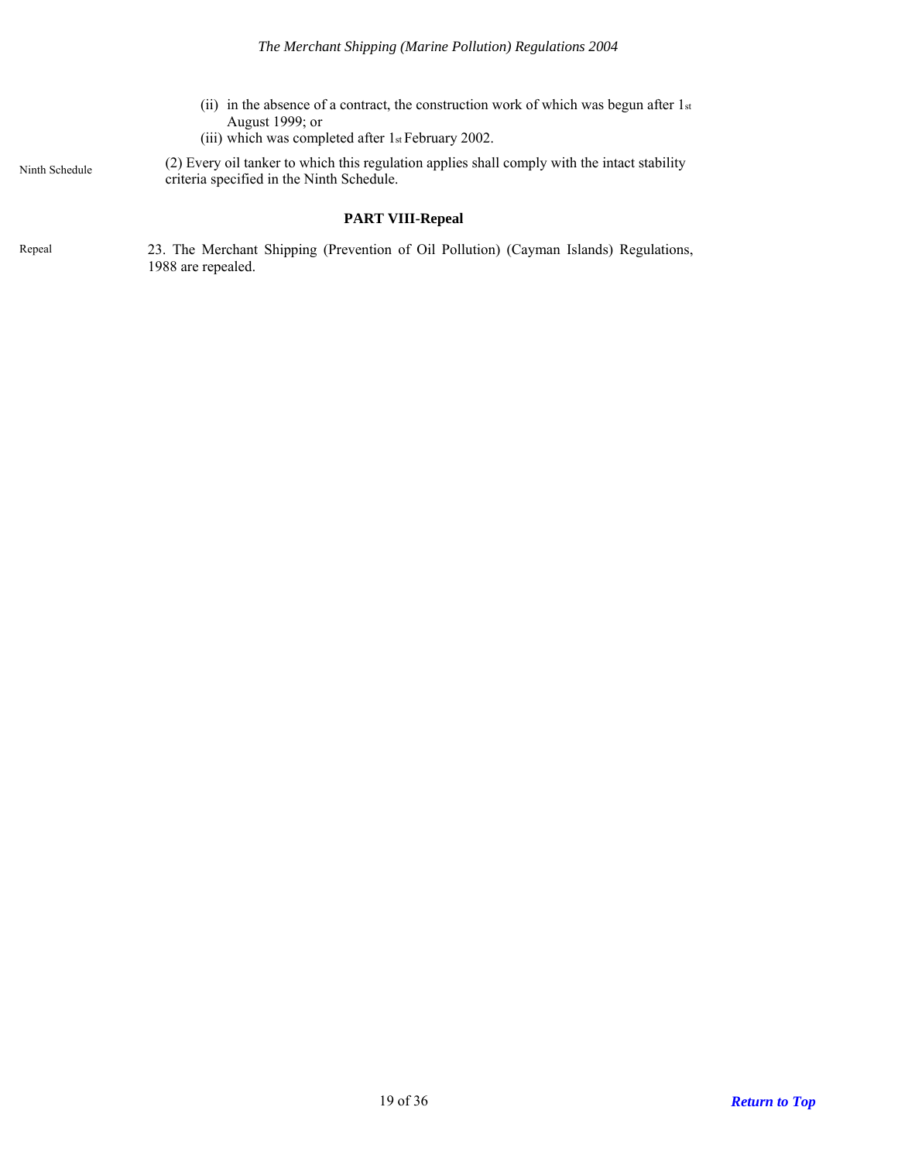- (ii) in the absence of a contract, the construction work of which was begun after  $1_{st}$ August 1999; or
- (iii) which was completed after 1st February 2002.

Ninth Schedule

(2) Every oil tanker to which this regulation applies shall comply with the intact stability criteria specified in the Ninth Schedule.

## **PART VIII-Repeal**

<span id="page-18-1"></span><span id="page-18-0"></span>23. The Merchant Shipping (Prevention of Oil Pollution) (Cayman Islands) Regulations, 1988 are repealed. Repeal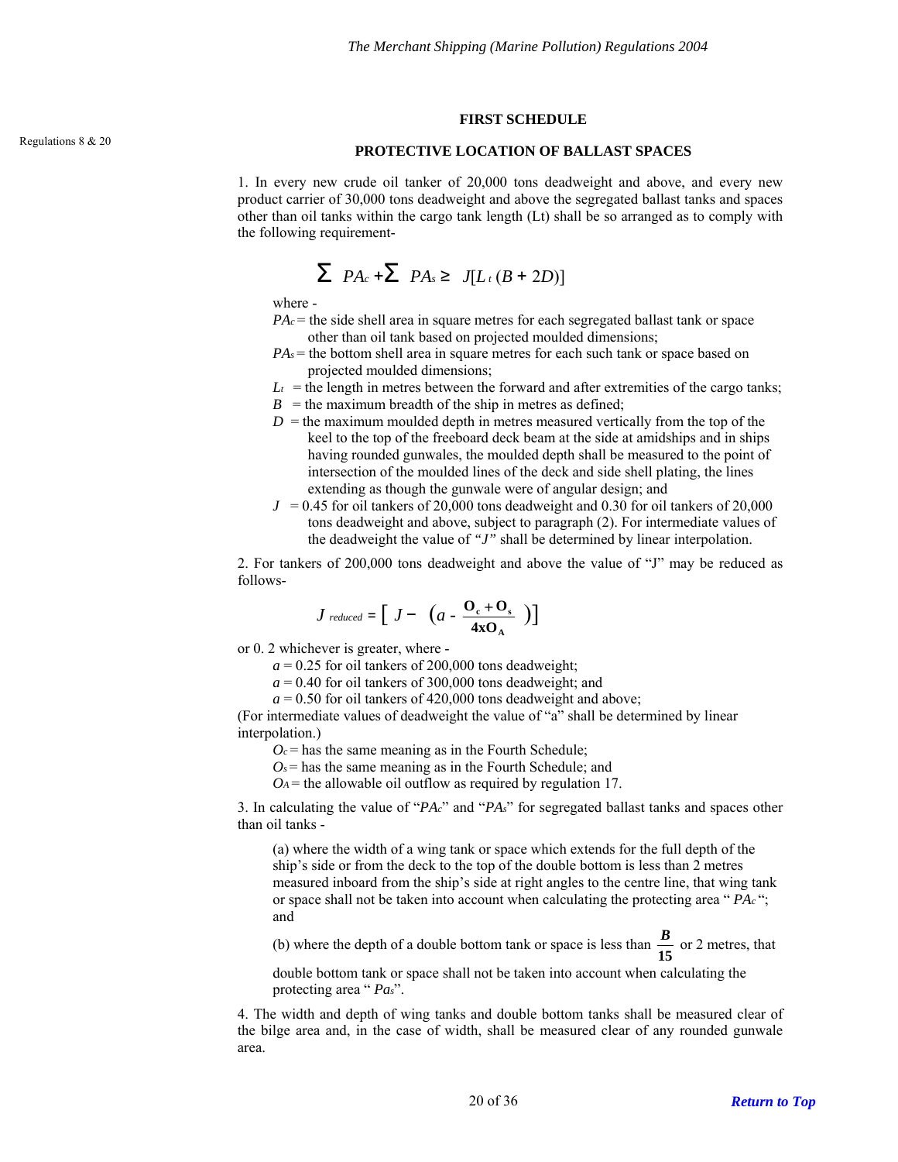#### **FIRST SCHEDULE**

# <span id="page-19-0"></span>Regulations 8 & 20 **PROTECTIVE LOCATION OF BALLAST SPACES**

1. In every new crude oil tanker of 20,000 tons deadweight and above, and every new product carrier of 30,000 tons deadweight and above the segregated ballast tanks and spaces other than oil tanks within the cargo tank length (Lt) shall be so arranged as to comply with the following requirement-

$$
\sum PA_c + \sum PA_s \geq J[L_t(B + 2D)]
$$

where -

- $PA_c$  = the side shell area in square metres for each segregated ballast tank or space other than oil tank based on projected moulded dimensions;
- $PAs$  = the bottom shell area in square metres for each such tank or space based on projected moulded dimensions;
- $L_t$  = the length in metres between the forward and after extremities of the cargo tanks;
- $B =$  the maximum breadth of the ship in metres as defined;
- $D =$  the maximum moulded depth in metres measured vertically from the top of the keel to the top of the freeboard deck beam at the side at amidships and in ships having rounded gunwales, the moulded depth shall be measured to the point of intersection of the moulded lines of the deck and side shell plating, the lines extending as though the gunwale were of angular design; and
- $J = 0.45$  for oil tankers of 20,000 tons deadweight and 0.30 for oil tankers of 20,000 tons deadweight and above, subject to paragraph (2). For intermediate values of the deadweight the value of *"J"* shall be determined by linear interpolation.

2. For tankers of 200,000 tons deadweight and above the value of "J" may be reduced as follows-

$$
J_{reduced} = \left[ J - \left( a - \frac{\mathbf{O}_{\rm c} + \mathbf{O}_{\rm s}}{4 \mathbf{x} \mathbf{O}_{\rm A}} \right) \right]
$$

or 0. 2 whichever is greater, where -

 $a = 0.25$  for oil tankers of 200,000 tons deadweight;

 $a = 0.40$  for oil tankers of 300,000 tons deadweight; and

 $a = 0.50$  for oil tankers of 420,000 tons deadweight and above;

(For intermediate values of deadweight the value of "a" shall be determined by linear interpolation.)

 $O_c$  = has the same meaning as in the Fourth Schedule;

 $O_s$  = has the same meaning as in the Fourth Schedule; and

 $O_A$  = the allowable oil outflow as required by regulation 17.

3. In calculating the value of "*PAc*" and "*PAs*" for segregated ballast tanks and spaces other than oil tanks -

(a) where the width of a wing tank or space which extends for the full depth of the ship's side or from the deck to the top of the double bottom is less than 2 metres measured inboard from the ship's side at right angles to the centre line, that wing tank or space shall not be taken into account when calculating the protecting area " *PAc* "; and

(b) where the depth of a double bottom tank or space is less than  $\frac{B}{15}$  or 2 metres, that

double bottom tank or space shall not be taken into account when calculating the protecting area " *Pas*".

4. The width and depth of wing tanks and double bottom tanks shall be measured clear of the bilge area and, in the case of width, shall be measured clear of any rounded gunwale area.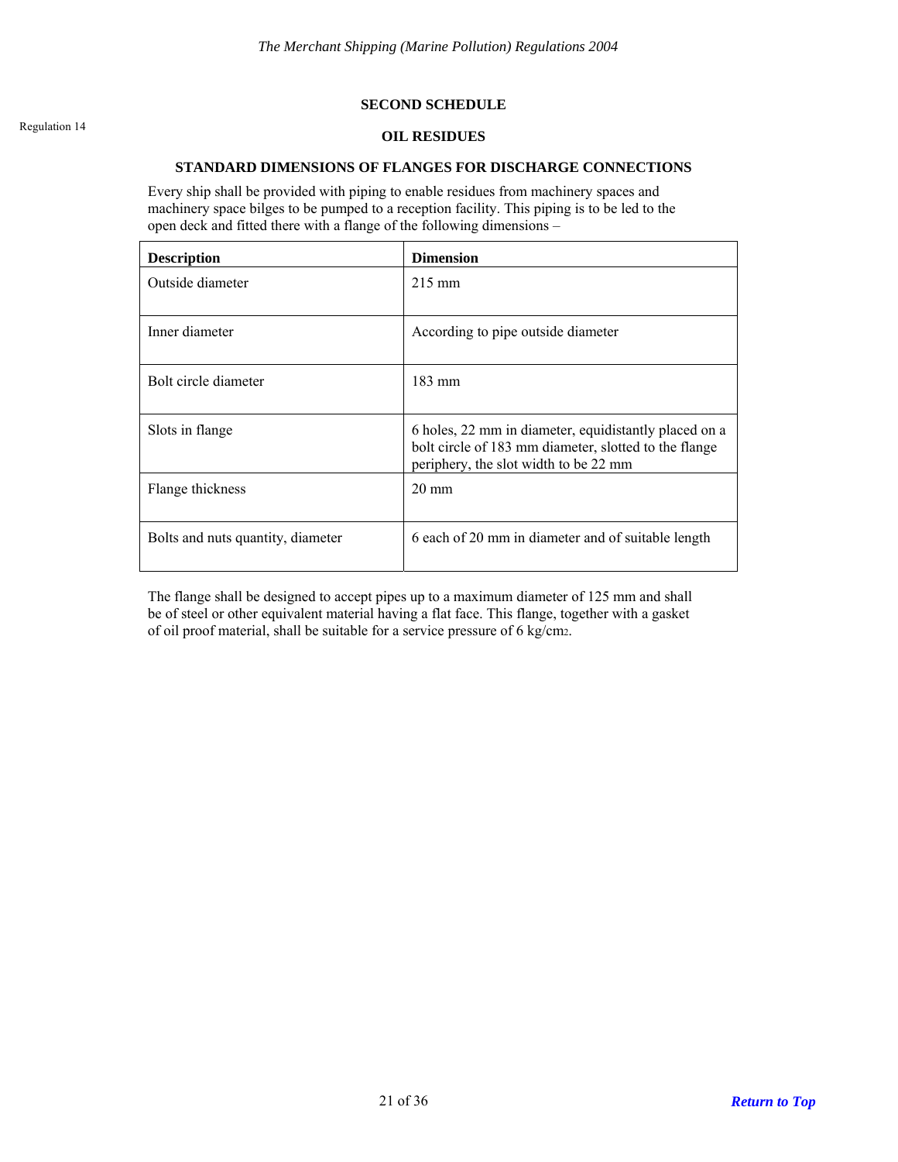### **SECOND SCHEDULE**

# <span id="page-20-0"></span>Regulation 14 **OIL RESIDUES**

#### **STANDARD DIMENSIONS OF FLANGES FOR DISCHARGE CONNECTIONS**

Every ship shall be provided with piping to enable residues from machinery spaces and machinery space bilges to be pumped to a reception facility. This piping is to be led to the open deck and fitted there with a flange of the following dimensions –

| <b>Description</b>                | <b>Dimension</b>                                                                                                                                        |
|-----------------------------------|---------------------------------------------------------------------------------------------------------------------------------------------------------|
| Outside diameter                  | $215 \text{ mm}$                                                                                                                                        |
| Inner diameter                    | According to pipe outside diameter                                                                                                                      |
| Bolt circle diameter              | $183 \text{ mm}$                                                                                                                                        |
| Slots in flange                   | 6 holes, 22 mm in diameter, equidistantly placed on a<br>bolt circle of 183 mm diameter, slotted to the flange<br>periphery, the slot width to be 22 mm |
| Flange thickness                  | $20 \text{ mm}$                                                                                                                                         |
| Bolts and nuts quantity, diameter | 6 each of 20 mm in diameter and of suitable length                                                                                                      |

The flange shall be designed to accept pipes up to a maximum diameter of 125 mm and shall be of steel or other equivalent material having a flat face. This flange, together with a gasket of oil proof material, shall be suitable for a service pressure of 6 kg/cm2.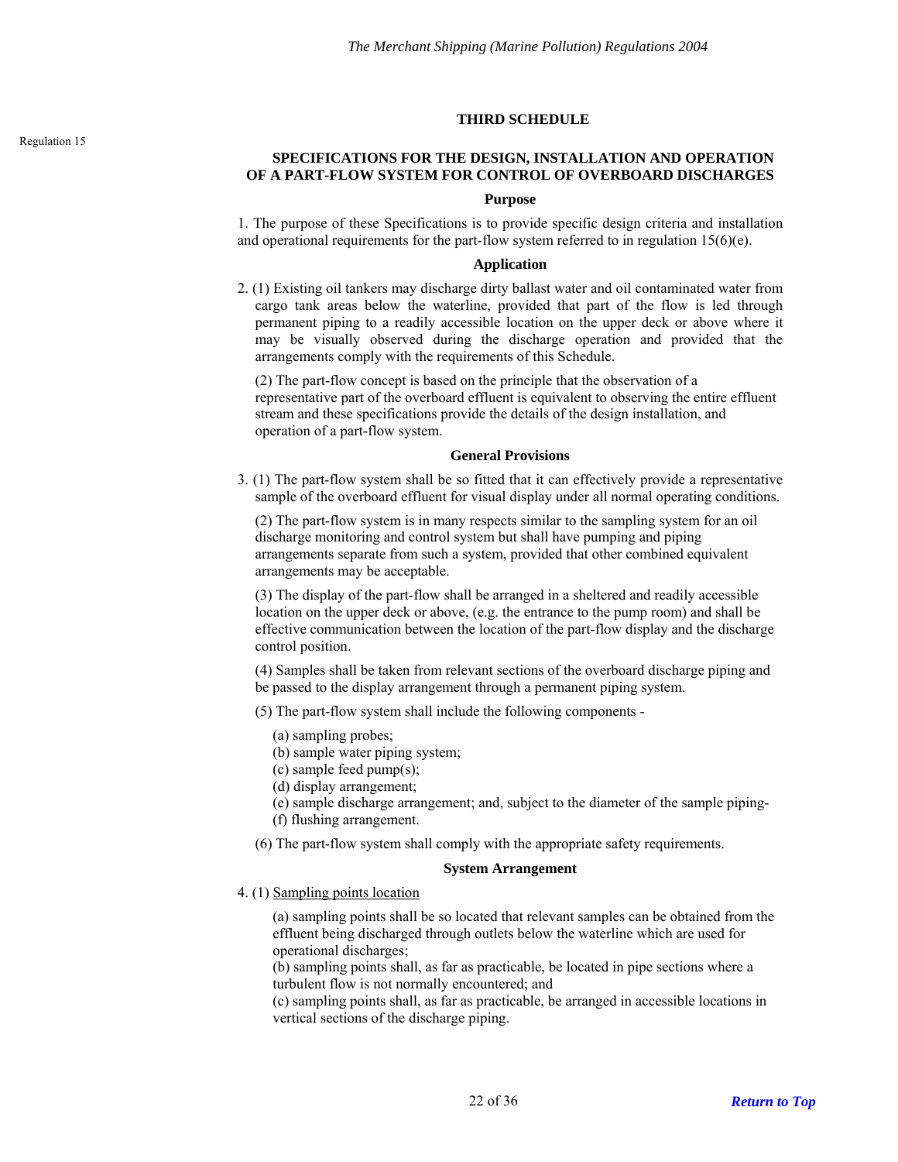#### **THIRD SCHEDULE**

## <span id="page-21-0"></span>**SPECIFICATIONS FOR THE DESIGN, INSTALLATION AND OPERATION OF A PART-FLOW SYSTEM FOR CONTROL OF OVERBOARD DISCHARGES**

#### **Purpose**

1. The purpose of these Specifications is to provide specific design criteria and installation and operational requirements for the part-flow system referred to in regulation  $15(6)(e)$ .

### **Application**

2. (1) Existing oil tankers may discharge dirty ballast water and oil contaminated water from cargo tank areas below the waterline, provided that part of the flow is led through permanent piping to a readily accessible location on the upper deck or above where it may be visually observed during the discharge operation and provided that the arrangements comply with the requirements of this Schedule.

(2) The part-flow concept is based on the principle that the observation of a representative part of the overboard effluent is equivalent to observing the entire effluent stream and these specifications provide the details of the design installation, and operation of a part-flow system.

#### **General Provisions**

3. (1) The part-flow system shall be so fitted that it can effectively provide a representative sample of the overboard effluent for visual display under all normal operating conditions.

(2) The part-flow system is in many respects similar to the sampling system for an oil discharge monitoring and control system but shall have pumping and piping arrangements separate from such a system, provided that other combined equivalent arrangements may be acceptable.

(3) The display of the part-flow shall be arranged in a sheltered and readily accessible location on the upper deck or above, (e.g. the entrance to the pump room) and shall be effective communication between the location of the part-flow display and the discharge control position.

(4) Samples shall be taken from relevant sections of the overboard discharge piping and be passed to the display arrangement through a permanent piping system.

(5) The part-flow system shall include the following components -

- (a) sampling probes;
- (b) sample water piping system;
- (c) sample feed pump(s);
- (d) display arrangement;
- (e) sample discharge arrangement; and, subject to the diameter of the sample piping-
- (f) flushing arrangement.
- (6) The part-flow system shall comply with the appropriate safety requirements.

#### **System Arrangement**

4. (1) Sampling points location

(a) sampling points shall be so located that relevant samples can be obtained from the effluent being discharged through outlets below the waterline which are used for operational discharges;

(b) sampling points shall, as far as practicable, be located in pipe sections where a turbulent flow is not normally encountered; and

(c) sampling points shall, as far as practicable, be arranged in accessible locations in vertical sections of the discharge piping.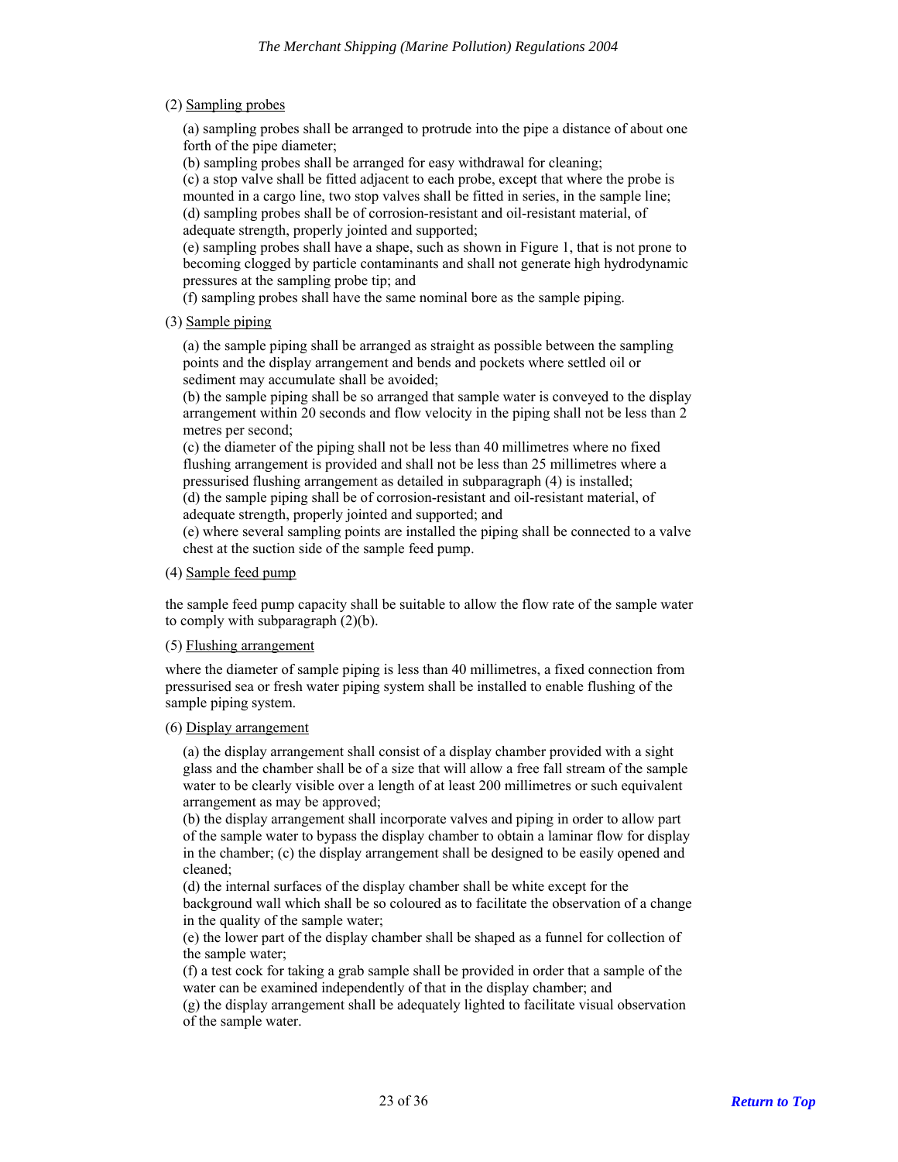(2) Sampling probes

(a) sampling probes shall be arranged to protrude into the pipe a distance of about one forth of the pipe diameter;

(b) sampling probes shall be arranged for easy withdrawal for cleaning;

(c) a stop valve shall be fitted adjacent to each probe, except that where the probe is mounted in a cargo line, two stop valves shall be fitted in series, in the sample line; (d) sampling probes shall be of corrosion-resistant and oil-resistant material, of adequate strength, properly jointed and supported;

(e) sampling probes shall have a shape, such as shown in Figure 1, that is not prone to becoming clogged by particle contaminants and shall not generate high hydrodynamic pressures at the sampling probe tip; and

(f) sampling probes shall have the same nominal bore as the sample piping.

(3) Sample piping

(a) the sample piping shall be arranged as straight as possible between the sampling points and the display arrangement and bends and pockets where settled oil or sediment may accumulate shall be avoided;

(b) the sample piping shall be so arranged that sample water is conveyed to the display arrangement within 20 seconds and flow velocity in the piping shall not be less than 2 metres per second;

(c) the diameter of the piping shall not be less than 40 millimetres where no fixed flushing arrangement is provided and shall not be less than 25 millimetres where a pressurised flushing arrangement as detailed in subparagraph (4) is installed;

(d) the sample piping shall be of corrosion-resistant and oil-resistant material, of adequate strength, properly jointed and supported; and

(e) where several sampling points are installed the piping shall be connected to a valve chest at the suction side of the sample feed pump.

## (4) Sample feed pump

the sample feed pump capacity shall be suitable to allow the flow rate of the sample water to comply with subparagraph (2)(b).

#### (5) Flushing arrangement

where the diameter of sample piping is less than 40 millimetres, a fixed connection from pressurised sea or fresh water piping system shall be installed to enable flushing of the sample piping system.

## (6) Display arrangement

(a) the display arrangement shall consist of a display chamber provided with a sight glass and the chamber shall be of a size that will allow a free fall stream of the sample water to be clearly visible over a length of at least 200 millimetres or such equivalent arrangement as may be approved;

(b) the display arrangement shall incorporate valves and piping in order to allow part of the sample water to bypass the display chamber to obtain a laminar flow for display in the chamber; (c) the display arrangement shall be designed to be easily opened and cleaned;

(d) the internal surfaces of the display chamber shall be white except for the background wall which shall be so coloured as to facilitate the observation of a change in the quality of the sample water;

(e) the lower part of the display chamber shall be shaped as a funnel for collection of the sample water;

(f) a test cock for taking a grab sample shall be provided in order that a sample of the water can be examined independently of that in the display chamber; and

(g) the display arrangement shall be adequately lighted to facilitate visual observation of the sample water.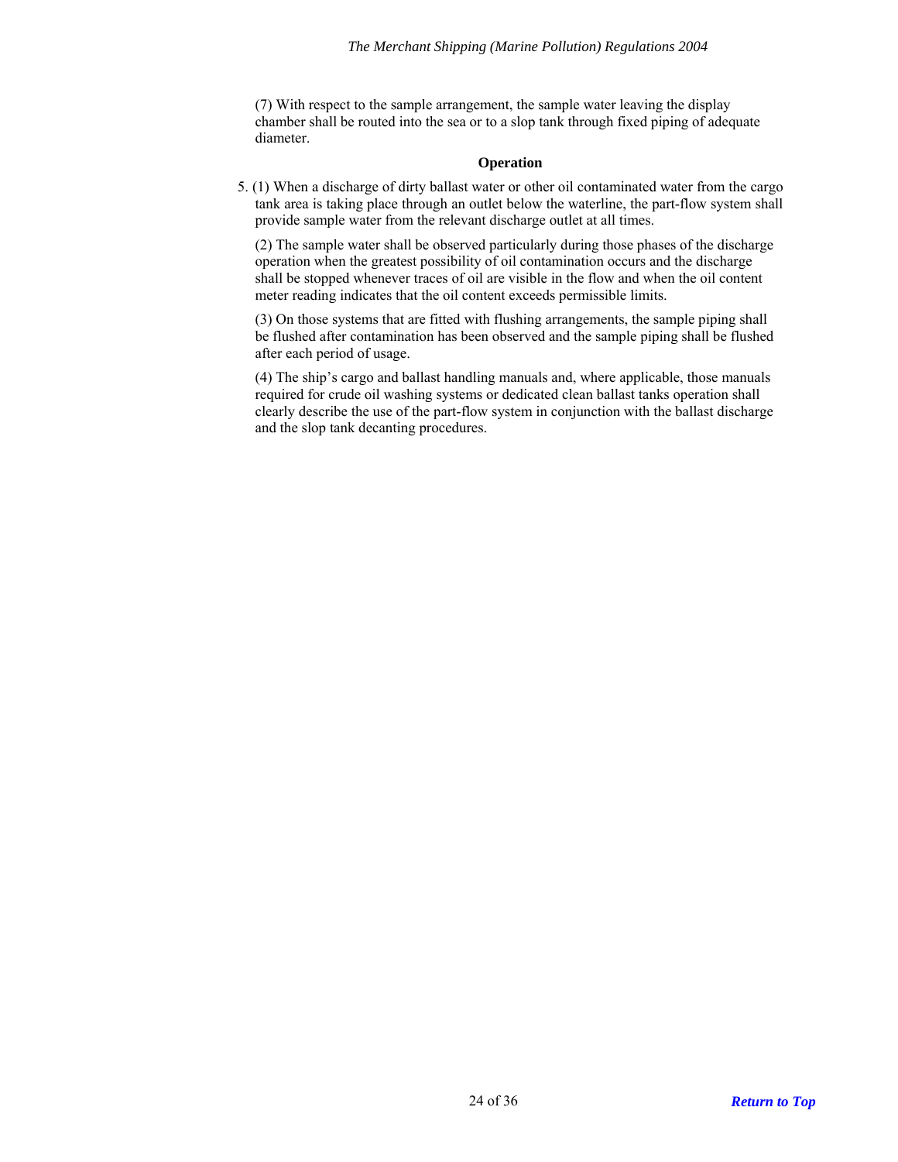(7) With respect to the sample arrangement, the sample water leaving the display chamber shall be routed into the sea or to a slop tank through fixed piping of adequate diameter.

### **Operation**

5. (1) When a discharge of dirty ballast water or other oil contaminated water from the cargo tank area is taking place through an outlet below the waterline, the part-flow system shall provide sample water from the relevant discharge outlet at all times.

(2) The sample water shall be observed particularly during those phases of the discharge operation when the greatest possibility of oil contamination occurs and the discharge shall be stopped whenever traces of oil are visible in the flow and when the oil content meter reading indicates that the oil content exceeds permissible limits.

(3) On those systems that are fitted with flushing arrangements, the sample piping shall be flushed after contamination has been observed and the sample piping shall be flushed after each period of usage.

(4) The ship's cargo and ballast handling manuals and, where applicable, those manuals required for crude oil washing systems or dedicated clean ballast tanks operation shall clearly describe the use of the part-flow system in conjunction with the ballast discharge and the slop tank decanting procedures.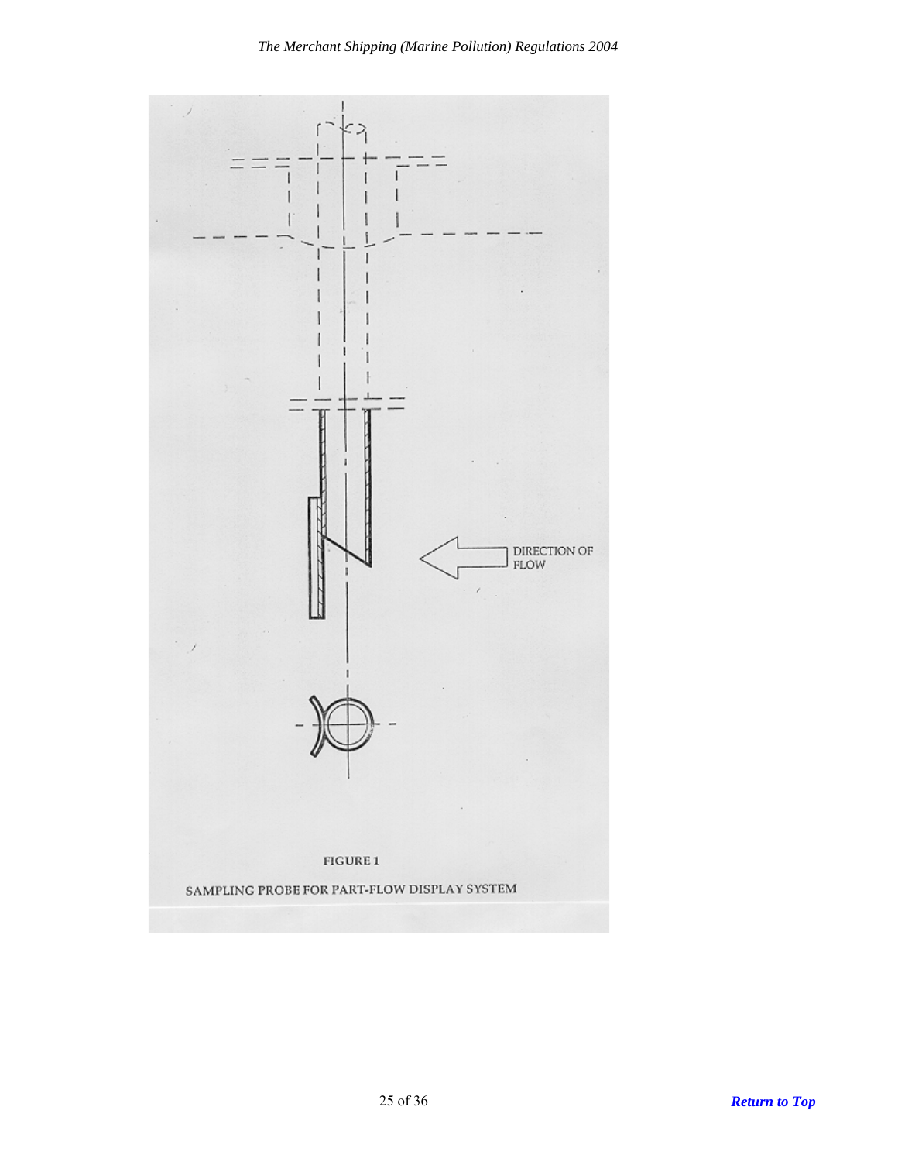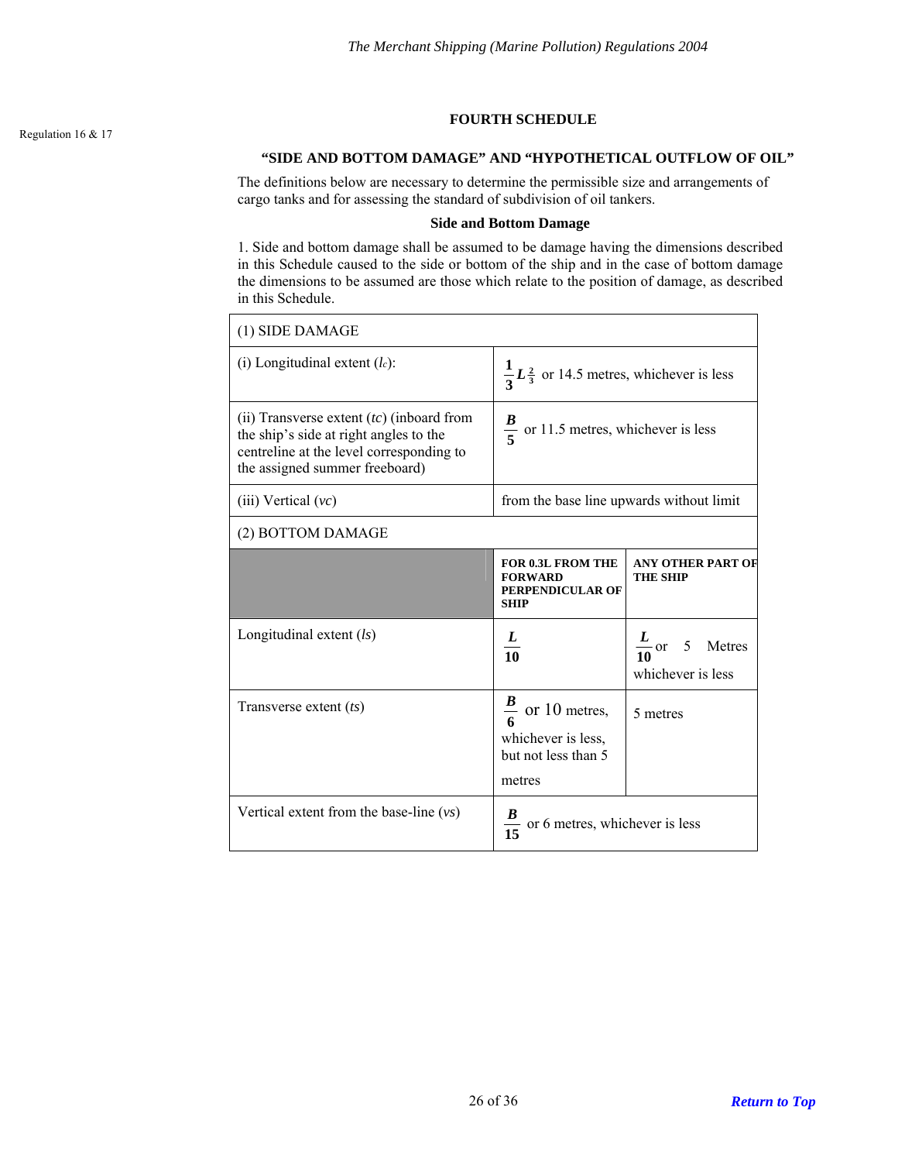## **FOURTH SCHEDULE**

## **"SIDE AND BOTTOM DAMAGE" AND "HYPOTHETICAL OUTFLOW OF OIL"**

<span id="page-25-0"></span>The definitions below are necessary to determine the permissible size and arrangements of cargo tanks and for assessing the standard of subdivision of oil tankers.

#### **Side and Bottom Damage**

1. Side and bottom damage shall be assumed to be damage having the dimensions described in this Schedule caused to the side or bottom of the ship and in the case of bottom damage the dimensions to be assumed are those which relate to the position of damage, as described in this Schedule.

| (1) SIDE DAMAGE                                                                                                                                                     |                                                                                    |                                                 |  |  |
|---------------------------------------------------------------------------------------------------------------------------------------------------------------------|------------------------------------------------------------------------------------|-------------------------------------------------|--|--|
| (i) Longitudinal extent $(l_c)$ :                                                                                                                                   | $\frac{1}{3}L_{3}^{2}$ or 14.5 metres, whichever is less                           |                                                 |  |  |
| (ii) Transverse extent $(tc)$ (inboard from<br>the ship's side at right angles to the<br>centreline at the level corresponding to<br>the assigned summer freeboard) | $\frac{B}{5}$ or 11.5 metres, whichever is less                                    |                                                 |  |  |
| $(iii)$ Vertical $(vc)$                                                                                                                                             | from the base line upwards without limit                                           |                                                 |  |  |
| (2) BOTTOM DAMAGE                                                                                                                                                   |                                                                                    |                                                 |  |  |
|                                                                                                                                                                     | <b>FOR 0.3L FROM THE</b><br><b>FORWARD</b><br>PERPENDICULAR OF<br><b>SHIP</b>      | <b>ANY OTHER PART OF</b><br><b>THE SHIP</b>     |  |  |
| Longitudinal extent $(ls)$                                                                                                                                          | $\frac{L}{10}$                                                                     | $\frac{L}{10}$ or 5 Metres<br>whichever is less |  |  |
| Transverse extent $(ts)$                                                                                                                                            | $\frac{B}{6}$ or 10 metres,<br>whichever is less,<br>but not less than 5<br>metres | 5 metres                                        |  |  |
| Vertical extent from the base-line $(vs)$                                                                                                                           | or 6 metres, whichever is less                                                     |                                                 |  |  |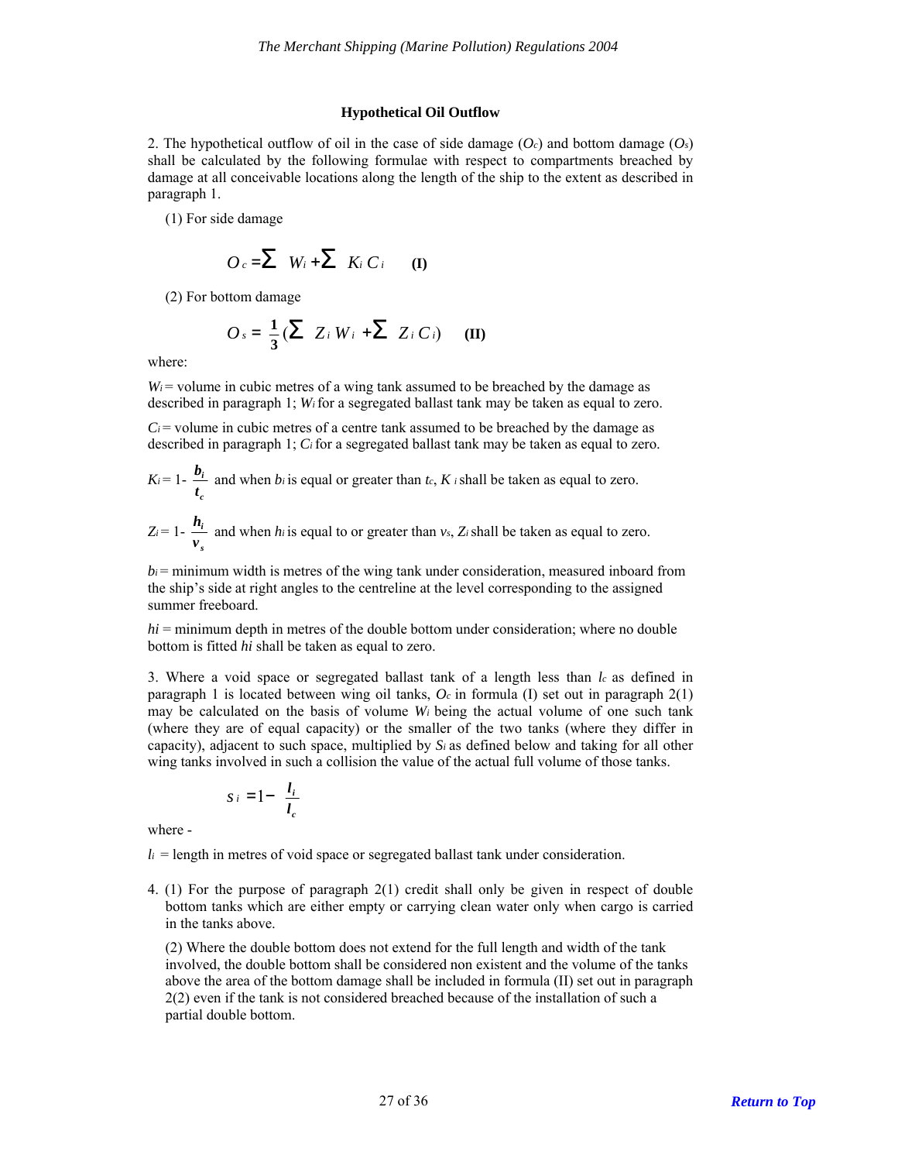#### **Hypothetical Oil Outflow**

2. The hypothetical outflow of oil in the case of side damage  $(O<sub>c</sub>)$  and bottom damage  $(O<sub>s</sub>)$ shall be calculated by the following formulae with respect to compartments breached by damage at all conceivable locations along the length of the ship to the extent as described in paragraph 1.

(1) For side damage

$$
O_c = \sum W_i + \sum K_i C_i \qquad (I)
$$

(2) For bottom damage

$$
O_s = \frac{1}{3} \left( \sum Z_i W_i + \sum Z_i C_i \right) \quad (\mathbf{II})
$$

where:

 $W_i$  = volume in cubic metres of a wing tank assumed to be breached by the damage as described in paragraph 1; *Wi* for a segregated ballast tank may be taken as equal to zero.

 $C_i$  = volume in cubic metres of a centre tank assumed to be breached by the damage as described in paragraph 1; *Ci* for a segregated ballast tank may be taken as equal to zero.

$$
K_i = 1 - \frac{b_i}{t_c}
$$
 and when  $b_i$  is equal or greater than  $t_c$ ,  $K_i$  shall be taken as equal to zero.

$$
Z_i = 1 - \frac{h_i}{v_s}
$$
 and when *h\_i* is equal to or greater than *v\_s*, *Z\_i* shall be taken as equal to zero.

 $b_i$  = minimum width is metres of the wing tank under consideration, measured inboard from the ship's side at right angles to the centreline at the level corresponding to the assigned summer freeboard.

 $hi =$  minimum depth in metres of the double bottom under consideration; where no double bottom is fitted *hi* shall be taken as equal to zero.

3. Where a void space or segregated ballast tank of a length less than *lc* as defined in paragraph 1 is located between wing oil tanks, *Oc* in formula (I) set out in paragraph 2(1) may be calculated on the basis of volume *Wi* being the actual volume of one such tank (where they are of equal capacity) or the smaller of the two tanks (where they differ in capacity), adjacent to such space, multiplied by  $S_i$  as defined below and taking for all other wing tanks involved in such a collision the value of the actual full volume of those tanks.

$$
s_i = 1 - \frac{l_i}{l_c}
$$

where -

 $l_i$  = length in metres of void space or segregated ballast tank under consideration.

4. (1) For the purpose of paragraph 2(1) credit shall only be given in respect of double bottom tanks which are either empty or carrying clean water only when cargo is carried in the tanks above.

(2) Where the double bottom does not extend for the full length and width of the tank involved, the double bottom shall be considered non existent and the volume of the tanks above the area of the bottom damage shall be included in formula (II) set out in paragraph 2(2) even if the tank is not considered breached because of the installation of such a partial double bottom.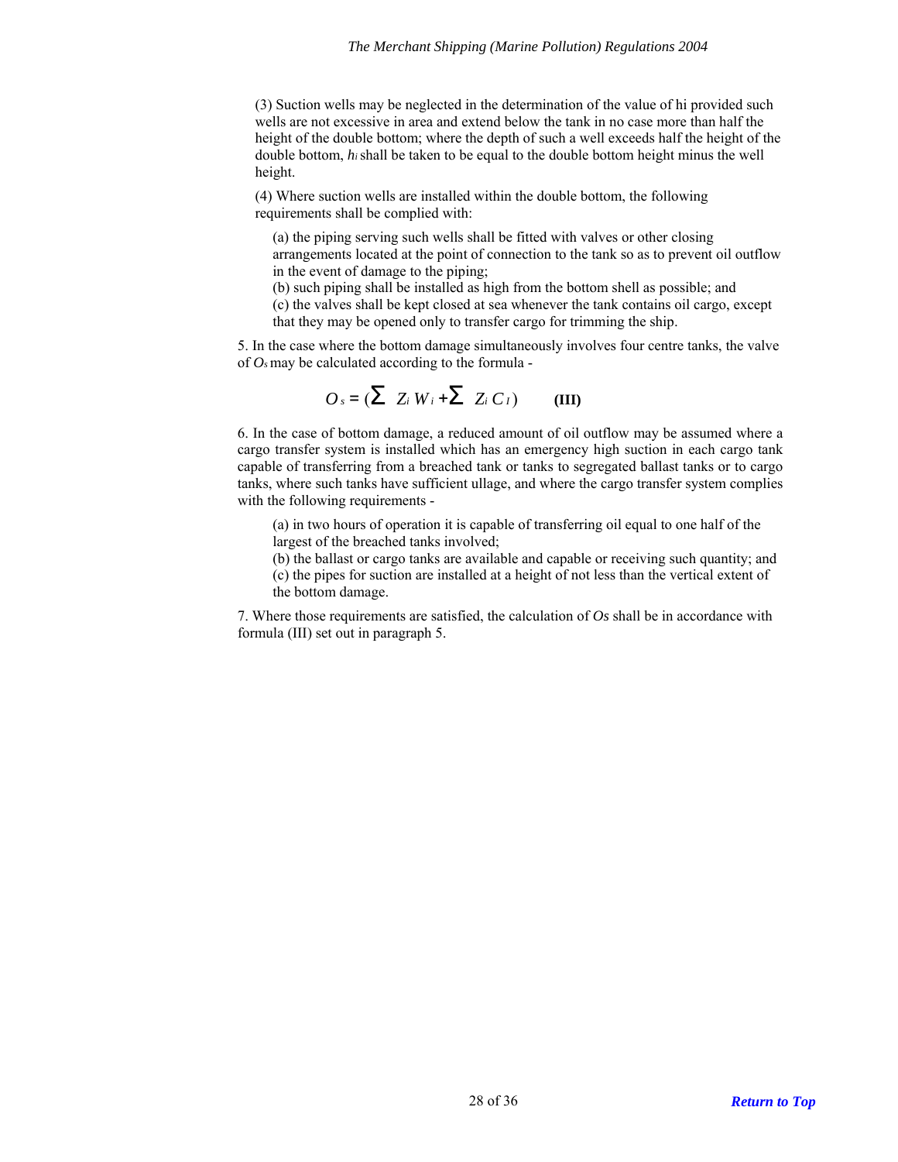(3) Suction wells may be neglected in the determination of the value of hi provided such wells are not excessive in area and extend below the tank in no case more than half the height of the double bottom; where the depth of such a well exceeds half the height of the double bottom, *hi* shall be taken to be equal to the double bottom height minus the well height.

(4) Where suction wells are installed within the double bottom, the following requirements shall be complied with:

(a) the piping serving such wells shall be fitted with valves or other closing arrangements located at the point of connection to the tank so as to prevent oil outflow in the event of damage to the piping;

(b) such piping shall be installed as high from the bottom shell as possible; and

(c) the valves shall be kept closed at sea whenever the tank contains oil cargo, except that they may be opened only to transfer cargo for trimming the ship.

5. In the case where the bottom damage simultaneously involves four centre tanks, the valve of *Os* may be calculated according to the formula -

$$
O_s = (\sum Z_i W_i + \sum Z_i C_I) \qquad (III)
$$

6. In the case of bottom damage, a reduced amount of oil outflow may be assumed where a cargo transfer system is installed which has an emergency high suction in each cargo tank capable of transferring from a breached tank or tanks to segregated ballast tanks or to cargo tanks, where such tanks have sufficient ullage, and where the cargo transfer system complies with the following requirements -

(a) in two hours of operation it is capable of transferring oil equal to one half of the largest of the breached tanks involved;

(b) the ballast or cargo tanks are available and capable or receiving such quantity; and

(c) the pipes for suction are installed at a height of not less than the vertical extent of the bottom damage.

7. Where those requirements are satisfied, the calculation of *Os* shall be in accordance with formula (III) set out in paragraph 5.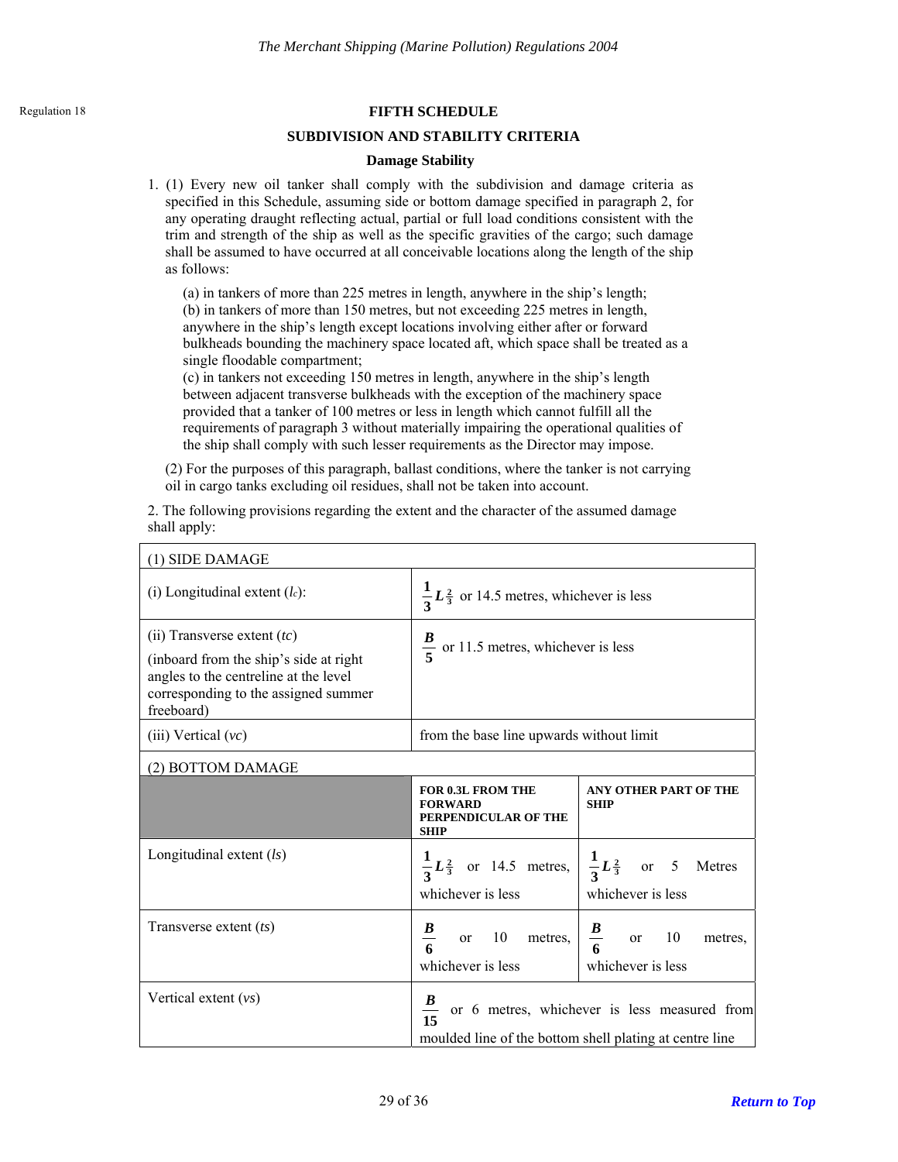## <span id="page-28-0"></span>**Regulation 18 FIFTH SCHEDULE**

### **SUBDIVISION AND STABILITY CRITERIA**

### **Damage Stability**

1. (1) Every new oil tanker shall comply with the subdivision and damage criteria as specified in this Schedule, assuming side or bottom damage specified in paragraph 2, for any operating draught reflecting actual, partial or full load conditions consistent with the trim and strength of the ship as well as the specific gravities of the cargo; such damage shall be assumed to have occurred at all conceivable locations along the length of the ship as follows:

(a) in tankers of more than 225 metres in length, anywhere in the ship's length; (b) in tankers of more than 150 metres, but not exceeding 225 metres in length, anywhere in the ship's length except locations involving either after or forward bulkheads bounding the machinery space located aft, which space shall be treated as a single floodable compartment;

(c) in tankers not exceeding 150 metres in length, anywhere in the ship's length between adjacent transverse bulkheads with the exception of the machinery space provided that a tanker of 100 metres or less in length which cannot fulfill all the requirements of paragraph 3 without materially impairing the operational qualities of the ship shall comply with such lesser requirements as the Director may impose.

(2) For the purposes of this paragraph, ballast conditions, where the tanker is not carrying oil in cargo tanks excluding oil residues, shall not be taken into account.

2. The following provisions regarding the extent and the character of the assumed damage shall apply:

| (1) SIDE DAMAGE                                                                                                                                                         |                                                                                   |                                                                                                          |  |  |
|-------------------------------------------------------------------------------------------------------------------------------------------------------------------------|-----------------------------------------------------------------------------------|----------------------------------------------------------------------------------------------------------|--|--|
| (i) Longitudinal extent $(lc)$ :                                                                                                                                        | $\frac{1}{3}L_{3}^{2}$ or 14.5 metres, whichever is less                          |                                                                                                          |  |  |
| (ii) Transverse extent $(tc)$<br>(inboard from the ship's side at right)<br>angles to the centreline at the level<br>corresponding to the assigned summer<br>freeboard) | $\frac{2}{5}$ or 11.5 metres, whichever is less                                   |                                                                                                          |  |  |
| (iii) Vertical $(vc)$                                                                                                                                                   | from the base line upwards without limit                                          |                                                                                                          |  |  |
| (2) BOTTOM DAMAGE                                                                                                                                                       |                                                                                   |                                                                                                          |  |  |
|                                                                                                                                                                         | <b>FOR 0.3L FROM THE</b><br><b>FORWARD</b><br>PERPENDICULAR OF THE<br><b>SHIP</b> | <b>ANY OTHER PART OF THE</b><br><b>SHIP</b>                                                              |  |  |
| Longitudinal extent $(ls)$                                                                                                                                              | whichever is less                                                                 | $rac{1}{3}L^{\frac{2}{3}}$ or 14.5 metres, $\frac{1}{3}L^{\frac{2}{3}}$ or 5 Metres<br>whichever is less |  |  |
| Transverse extent $(ts)$                                                                                                                                                | or 10 metres,<br>whichever is less                                                | $rac{B}{6}$<br>or $10$<br>metres,<br>whichever is less                                                   |  |  |
| Vertical extent $(vs)$                                                                                                                                                  | moulded line of the bottom shell plating at centre line                           | or 6 metres, whichever is less measured from                                                             |  |  |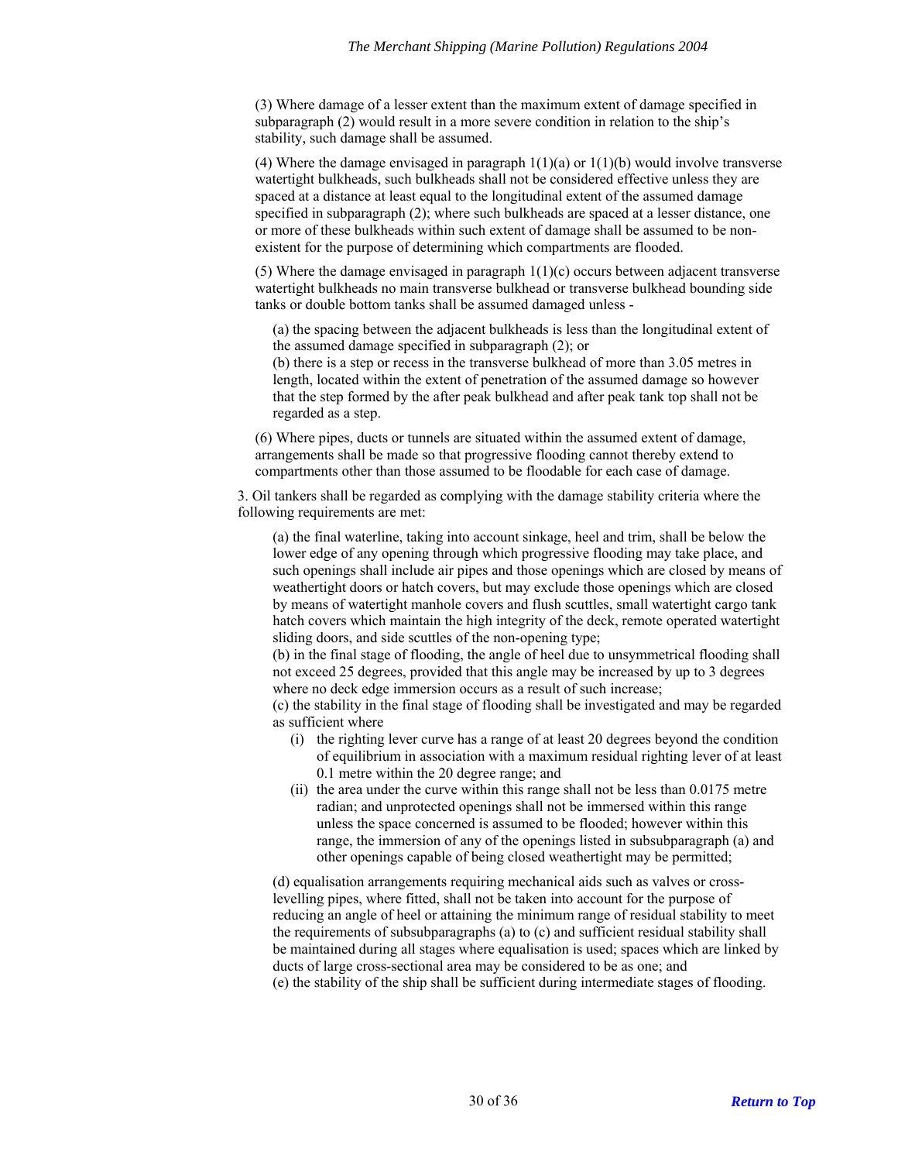(3) Where damage of a lesser extent than the maximum extent of damage specified in subparagraph (2) would result in a more severe condition in relation to the ship's stability, such damage shall be assumed.

(4) Where the damage envisaged in paragraph  $1(1)(a)$  or  $1(1)(b)$  would involve transverse watertight bulkheads, such bulkheads shall not be considered effective unless they are spaced at a distance at least equal to the longitudinal extent of the assumed damage specified in subparagraph (2); where such bulkheads are spaced at a lesser distance, one or more of these bulkheads within such extent of damage shall be assumed to be nonexistent for the purpose of determining which compartments are flooded.

(5) Where the damage envisaged in paragraph  $1(1)(c)$  occurs between adjacent transverse watertight bulkheads no main transverse bulkhead or transverse bulkhead bounding side tanks or double bottom tanks shall be assumed damaged unless -

(a) the spacing between the adjacent bulkheads is less than the longitudinal extent of the assumed damage specified in subparagraph (2); or

(b) there is a step or recess in the transverse bulkhead of more than 3.05 metres in length, located within the extent of penetration of the assumed damage so however that the step formed by the after peak bulkhead and after peak tank top shall not be regarded as a step.

(6) Where pipes, ducts or tunnels are situated within the assumed extent of damage, arrangements shall be made so that progressive flooding cannot thereby extend to compartments other than those assumed to be floodable for each case of damage.

3. Oil tankers shall be regarded as complying with the damage stability criteria where the following requirements are met:

(a) the final waterline, taking into account sinkage, heel and trim, shall be below the lower edge of any opening through which progressive flooding may take place, and such openings shall include air pipes and those openings which are closed by means of weathertight doors or hatch covers, but may exclude those openings which are closed by means of watertight manhole covers and flush scuttles, small watertight cargo tank hatch covers which maintain the high integrity of the deck, remote operated watertight sliding doors, and side scuttles of the non-opening type;

(b) in the final stage of flooding, the angle of heel due to unsymmetrical flooding shall not exceed 25 degrees, provided that this angle may be increased by up to 3 degrees where no deck edge immersion occurs as a result of such increase;

(c) the stability in the final stage of flooding shall be investigated and may be regarded as sufficient where

- (i) the righting lever curve has a range of at least 20 degrees beyond the condition of equilibrium in association with a maximum residual righting lever of at least 0.1 metre within the 20 degree range; and
- (ii) the area under the curve within this range shall not be less than 0.0175 metre radian; and unprotected openings shall not be immersed within this range unless the space concerned is assumed to be flooded; however within this range, the immersion of any of the openings listed in subsubparagraph (a) and other openings capable of being closed weathertight may be permitted;

(d) equalisation arrangements requiring mechanical aids such as valves or crosslevelling pipes, where fitted, shall not be taken into account for the purpose of reducing an angle of heel or attaining the minimum range of residual stability to meet the requirements of subsubparagraphs (a) to (c) and sufficient residual stability shall be maintained during all stages where equalisation is used; spaces which are linked by ducts of large cross-sectional area may be considered to be as one; and (e) the stability of the ship shall be sufficient during intermediate stages of flooding.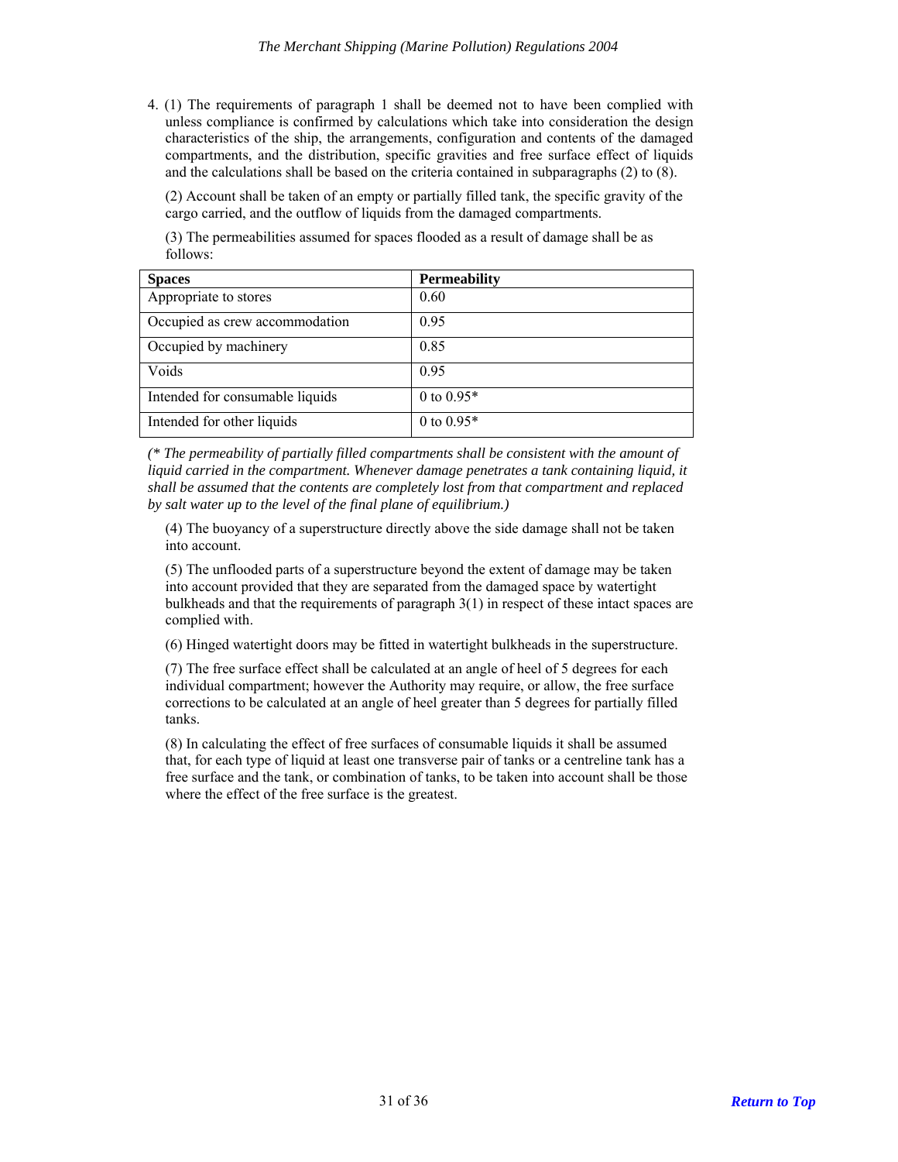4. (1) The requirements of paragraph 1 shall be deemed not to have been complied with unless compliance is confirmed by calculations which take into consideration the design characteristics of the ship, the arrangements, configuration and contents of the damaged compartments, and the distribution, specific gravities and free surface effect of liquids and the calculations shall be based on the criteria contained in subparagraphs (2) to (8).

(2) Account shall be taken of an empty or partially filled tank, the specific gravity of the cargo carried, and the outflow of liquids from the damaged compartments.

(3) The permeabilities assumed for spaces flooded as a result of damage shall be as follows:

| <b>Spaces</b>                   | <b>Permeability</b> |
|---------------------------------|---------------------|
| Appropriate to stores           | 0.60                |
| Occupied as crew accommodation  | 0.95                |
| Occupied by machinery           | 0.85                |
| Voids                           | 0.95                |
| Intended for consumable liquids | 0 to $0.95*$        |
| Intended for other liquids      | 0 to $0.95*$        |

*(\* The permeability of partially filled compartments shall be consistent with the amount of liquid carried in the compartment. Whenever damage penetrates a tank containing liquid, it shall be assumed that the contents are completely lost from that compartment and replaced by salt water up to the level of the final plane of equilibrium.)* 

(4) The buoyancy of a superstructure directly above the side damage shall not be taken into account.

(5) The unflooded parts of a superstructure beyond the extent of damage may be taken into account provided that they are separated from the damaged space by watertight bulkheads and that the requirements of paragraph  $3(1)$  in respect of these intact spaces are complied with.

(6) Hinged watertight doors may be fitted in watertight bulkheads in the superstructure.

(7) The free surface effect shall be calculated at an angle of heel of 5 degrees for each individual compartment; however the Authority may require, or allow, the free surface corrections to be calculated at an angle of heel greater than 5 degrees for partially filled tanks.

(8) In calculating the effect of free surfaces of consumable liquids it shall be assumed that, for each type of liquid at least one transverse pair of tanks or a centreline tank has a free surface and the tank, or combination of tanks, to be taken into account shall be those where the effect of the free surface is the greatest.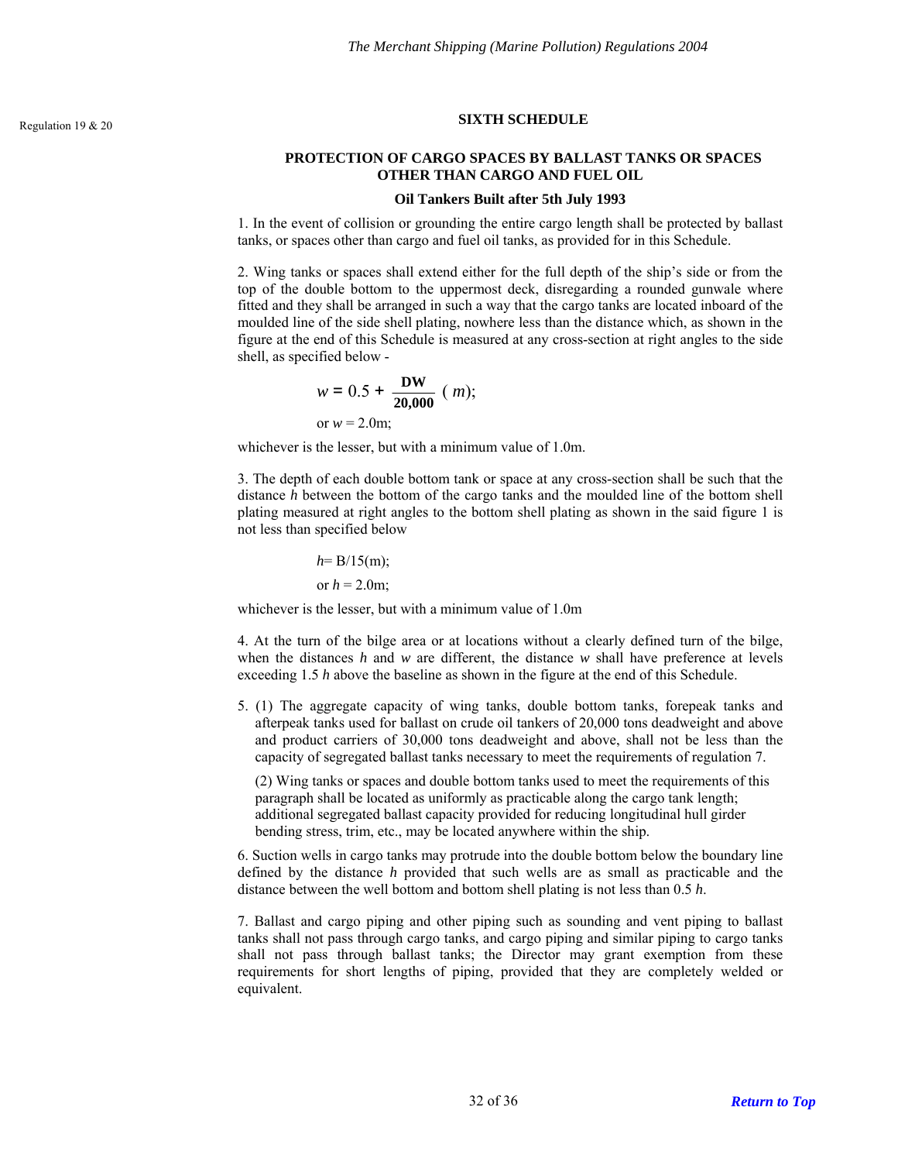## <span id="page-31-0"></span>**SIXTH SCHEDULE** Regulation 19 & 20

## **PROTECTION OF CARGO SPACES BY BALLAST TANKS OR SPACES OTHER THAN CARGO AND FUEL OIL**

#### **Oil Tankers Built after 5th July 1993**

1. In the event of collision or grounding the entire cargo length shall be protected by ballast tanks, or spaces other than cargo and fuel oil tanks, as provided for in this Schedule.

2. Wing tanks or spaces shall extend either for the full depth of the ship's side or from the top of the double bottom to the uppermost deck, disregarding a rounded gunwale where fitted and they shall be arranged in such a way that the cargo tanks are located inboard of the moulded line of the side shell plating, nowhere less than the distance which, as shown in the figure at the end of this Schedule is measured at any cross-section at right angles to the side shell, as specified below -

$$
w = 0.5 + \frac{DW}{20,000} \ (m);
$$
  
or  $w = 2.0m;$ 

whichever is the lesser, but with a minimum value of 1.0m.

3. The depth of each double bottom tank or space at any cross-section shall be such that the distance *h* between the bottom of the cargo tanks and the moulded line of the bottom shell plating measured at right angles to the bottom shell plating as shown in the said figure 1 is not less than specified below

$$
h= B/15(m);
$$
  
or  $h = 2.0m;$ 

whichever is the lesser, but with a minimum value of 1.0m

4. At the turn of the bilge area or at locations without a clearly defined turn of the bilge, when the distances *h* and *w* are different, the distance *w* shall have preference at levels exceeding 1.5 *h* above the baseline as shown in the figure at the end of this Schedule.

5. (1) The aggregate capacity of wing tanks, double bottom tanks, forepeak tanks and afterpeak tanks used for ballast on crude oil tankers of 20,000 tons deadweight and above and product carriers of 30,000 tons deadweight and above, shall not be less than the capacity of segregated ballast tanks necessary to meet the requirements of regulation 7.

(2) Wing tanks or spaces and double bottom tanks used to meet the requirements of this paragraph shall be located as uniformly as practicable along the cargo tank length; additional segregated ballast capacity provided for reducing longitudinal hull girder bending stress, trim, etc., may be located anywhere within the ship.

6. Suction wells in cargo tanks may protrude into the double bottom below the boundary line defined by the distance *h* provided that such wells are as small as practicable and the distance between the well bottom and bottom shell plating is not less than 0.5 *h*.

7. Ballast and cargo piping and other piping such as sounding and vent piping to ballast tanks shall not pass through cargo tanks, and cargo piping and similar piping to cargo tanks shall not pass through ballast tanks; the Director may grant exemption from these requirements for short lengths of piping, provided that they are completely welded or equivalent.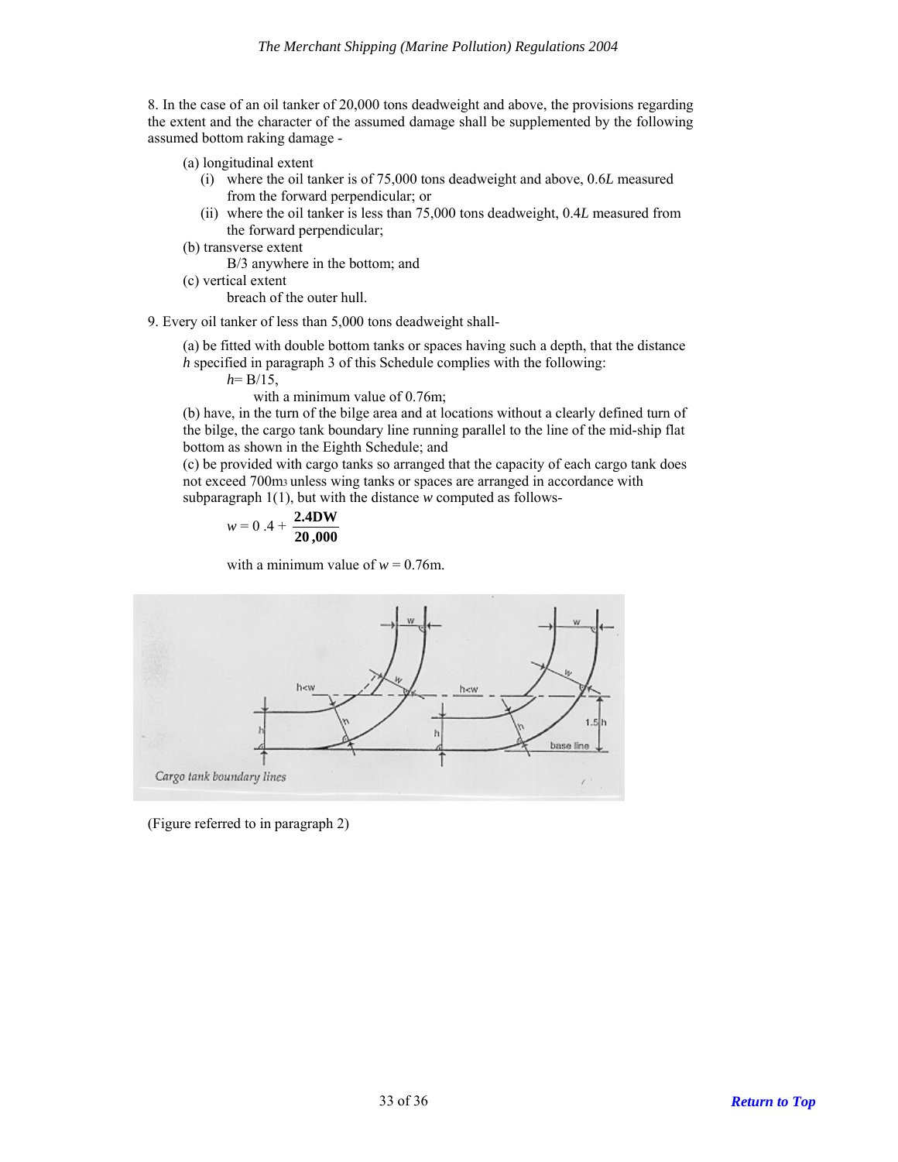8. In the case of an oil tanker of 20,000 tons deadweight and above, the provisions regarding the extent and the character of the assumed damage shall be supplemented by the following assumed bottom raking damage -

- (a) longitudinal extent
	- (i) where the oil tanker is of 75,000 tons deadweight and above, 0.6*L* measured from the forward perpendicular; or
	- (ii) where the oil tanker is less than 75,000 tons deadweight, 0.4*L* measured from the forward perpendicular;
- (b) transverse extent

B/3 anywhere in the bottom; and

(c) vertical extent

breach of the outer hull.

9. Every oil tanker of less than 5,000 tons deadweight shall-

(a) be fitted with double bottom tanks or spaces having such a depth, that the distance *h* specified in paragraph 3 of this Schedule complies with the following:

 $h = B/15$ ,

with a minimum value of 0.76m;

(b) have, in the turn of the bilge area and at locations without a clearly defined turn of the bilge, the cargo tank boundary line running parallel to the line of the mid-ship flat bottom as shown in the Eighth Schedule; and

(c) be provided with cargo tanks so arranged that the capacity of each cargo tank does not exceed 700m3 unless wing tanks or spaces are arranged in accordance with subparagraph 1(1), but with the distance *w* computed as follows-

$$
w = 0.4 + \frac{2.4 \text{DW}}{20,000}
$$

with a minimum value of  $w = 0.76$ m.



(Figure referred to in paragraph 2)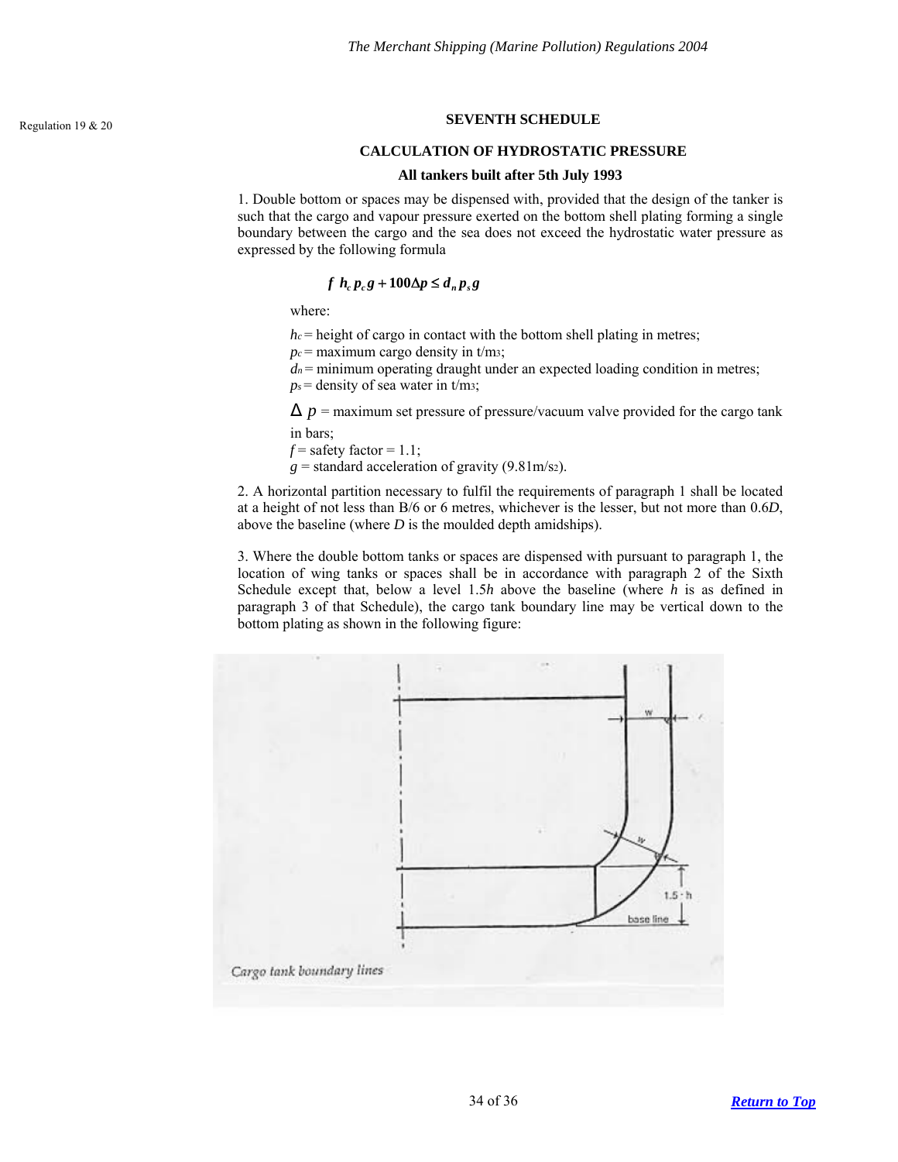## <span id="page-33-0"></span>**SEVENTH SCHEDULE** Regulation 19 & 20

#### **CALCULATION OF HYDROSTATIC PRESSURE**

#### **All tankers built after 5th July 1993**

1. Double bottom or spaces may be dispensed with, provided that the design of the tanker is such that the cargo and vapour pressure exerted on the bottom shell plating forming a single boundary between the cargo and the sea does not exceed the hydrostatic water pressure as expressed by the following formula

## $f h_c p_c g + 100 \Delta p \leq d_n p_s g$

where:

 $h_c$  = height of cargo in contact with the bottom shell plating in metres;

 $p_c$  = maximum cargo density in t/m<sub>3</sub>;

 $d_n$  = minimum operating draught under an expected loading condition in metres;

 $p_s$  = density of sea water in t/m<sub>3</sub>;

 $\Delta p$  = maximum set pressure of pressure/vacuum valve provided for the cargo tank in bars;

 $f =$  safety factor = 1.1;

 $g =$  standard acceleration of gravity (9.81m/s<sub>2</sub>).

2. A horizontal partition necessary to fulfil the requirements of paragraph 1 shall be located at a height of not less than B/6 or 6 metres, whichever is the lesser, but not more than 0.6*D*, above the baseline (where *D* is the moulded depth amidships).

3. Where the double bottom tanks or spaces are dispensed with pursuant to paragraph 1, the location of wing tanks or spaces shall be in accordance with paragraph 2 of the Sixth Schedule except that, below a level 1.5*h* above the baseline (where *h* is as defined in paragraph 3 of that Schedule), the cargo tank boundary line may be vertical down to the bottom plating as shown in the following figure:

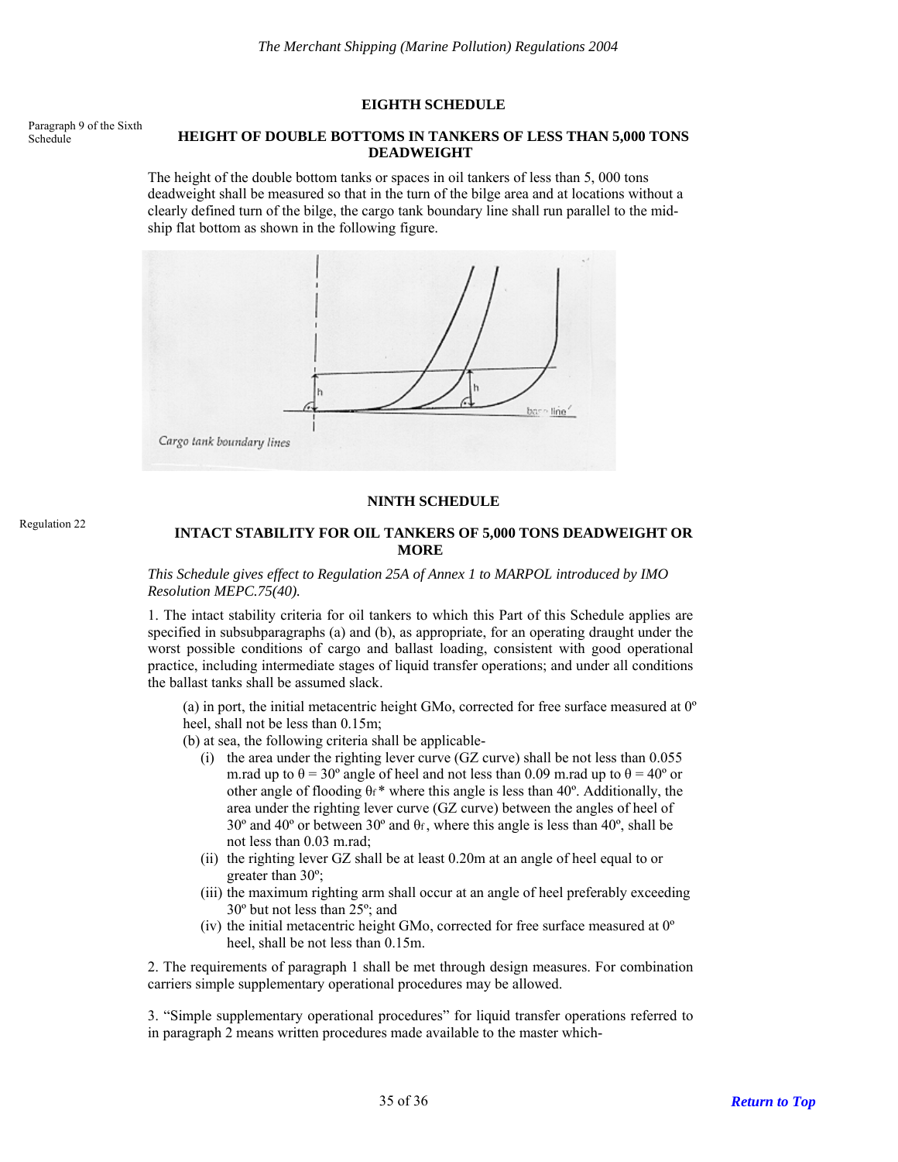### **EIGHTH SCHEDULE**

<span id="page-34-0"></span>Paragraph 9 of the Sixth

## Schedule **HEIGHT OF DOUBLE BOTTOMS IN TANKERS OF LESS THAN 5,000 TONS DEADWEIGHT**

The height of the double bottom tanks or spaces in oil tankers of less than 5, 000 tons deadweight shall be measured so that in the turn of the bilge area and at locations without a clearly defined turn of the bilge, the cargo tank boundary line shall run parallel to the midship flat bottom as shown in the following figure.



### **NINTH SCHEDULE**

# <span id="page-34-1"></span>Regulation 22 **INTACT STABILITY FOR OIL TANKERS OF 5,000 TONS DEADWEIGHT OR MORE**

#### *This Schedule gives effect to Regulation 25A of Annex 1 to MARPOL introduced by IMO Resolution MEPC.75(40).*

1. The intact stability criteria for oil tankers to which this Part of this Schedule applies are specified in subsubparagraphs (a) and (b), as appropriate, for an operating draught under the worst possible conditions of cargo and ballast loading, consistent with good operational practice, including intermediate stages of liquid transfer operations; and under all conditions the ballast tanks shall be assumed slack.

(a) in port, the initial metacentric height GMo, corrected for free surface measured at  $0^{\circ}$ heel, shall not be less than 0.15m;

(b) at sea, the following criteria shall be applicable-

- (i) the area under the righting lever curve (GZ curve) shall be not less than 0.055 m.rad up to  $\theta = 30^{\circ}$  angle of heel and not less than 0.09 m.rad up to  $\theta = 40^{\circ}$  or other angle of flooding  $\theta_f^*$  where this angle is less than 40°. Additionally, the area under the righting lever curve (GZ curve) between the angles of heel of 30º and 40º or between 30º and θf , where this angle is less than 40º, shall be not less than 0.03 m.rad;
- (ii) the righting lever GZ shall be at least 0.20m at an angle of heel equal to or greater than 30º;
- (iii) the maximum righting arm shall occur at an angle of heel preferably exceeding 30º but not less than 25º; and
- (iv) the initial metacentric height GMo, corrected for free surface measured at 0º heel, shall be not less than 0.15m.

2. The requirements of paragraph 1 shall be met through design measures. For combination carriers simple supplementary operational procedures may be allowed.

3. "Simple supplementary operational procedures" for liquid transfer operations referred to in paragraph 2 means written procedures made available to the master which